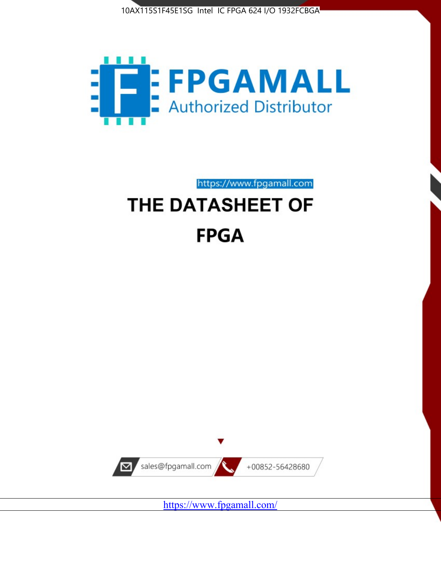



https://www.fpgamall.com

# THE DATASHEET OF **FPGA**



<https://www.fpgamall.com/>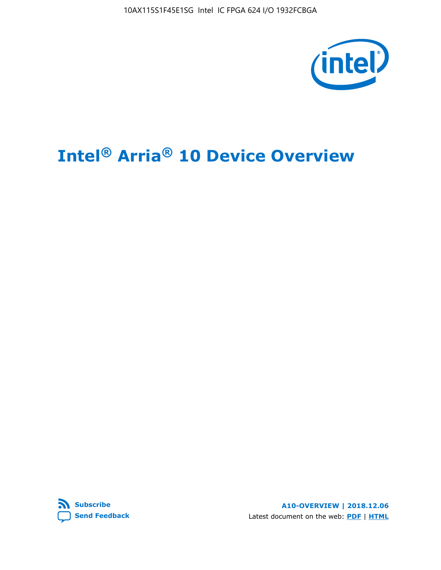10AX115S1F45E1SG Intel IC FPGA 624 I/O 1932FCBGA



# **Intel® Arria® 10 Device Overview**



**A10-OVERVIEW | 2018.12.06** Latest document on the web: **[PDF](https://www.intel.com/content/dam/www/programmable/us/en/pdfs/literature/hb/arria-10/a10_overview.pdf)** | **[HTML](https://www.intel.com/content/www/us/en/programmable/documentation/sam1403480274650.html)**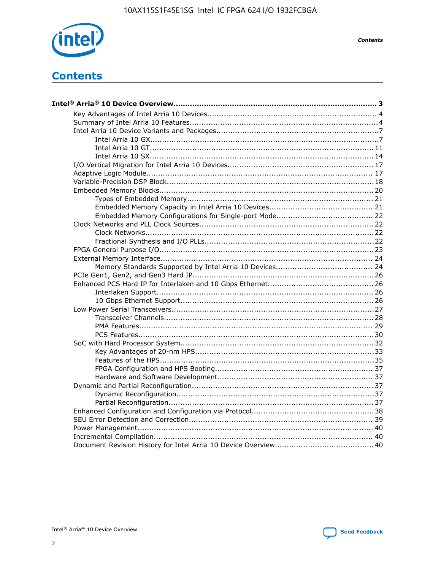

**Contents** 

# **Contents**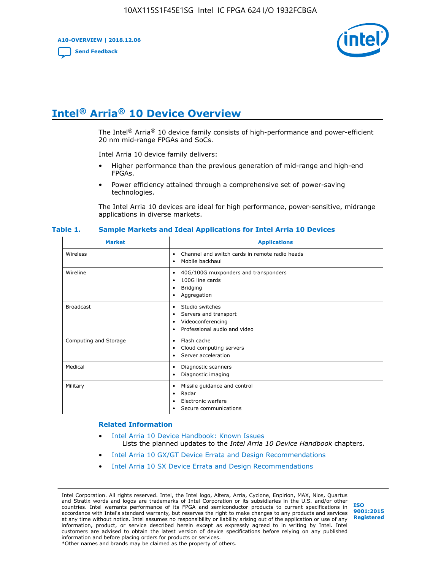**A10-OVERVIEW | 2018.12.06**

**[Send Feedback](mailto:FPGAtechdocfeedback@intel.com?subject=Feedback%20on%20Intel%20Arria%2010%20Device%20Overview%20(A10-OVERVIEW%202018.12.06)&body=We%20appreciate%20your%20feedback.%20In%20your%20comments,%20also%20specify%20the%20page%20number%20or%20paragraph.%20Thank%20you.)**



# **Intel® Arria® 10 Device Overview**

The Intel<sup>®</sup> Arria<sup>®</sup> 10 device family consists of high-performance and power-efficient 20 nm mid-range FPGAs and SoCs.

Intel Arria 10 device family delivers:

- Higher performance than the previous generation of mid-range and high-end FPGAs.
- Power efficiency attained through a comprehensive set of power-saving technologies.

The Intel Arria 10 devices are ideal for high performance, power-sensitive, midrange applications in diverse markets.

| <b>Market</b>         | <b>Applications</b>                                                                                               |
|-----------------------|-------------------------------------------------------------------------------------------------------------------|
| Wireless              | Channel and switch cards in remote radio heads<br>٠<br>Mobile backhaul<br>٠                                       |
| Wireline              | 40G/100G muxponders and transponders<br>٠<br>100G line cards<br>٠<br><b>Bridging</b><br>٠<br>Aggregation<br>٠     |
| <b>Broadcast</b>      | Studio switches<br>٠<br>Servers and transport<br>٠<br>Videoconferencing<br>٠<br>Professional audio and video<br>٠ |
| Computing and Storage | Flash cache<br>٠<br>Cloud computing servers<br>٠<br>Server acceleration<br>٠                                      |
| Medical               | Diagnostic scanners<br>٠<br>Diagnostic imaging<br>٠                                                               |
| Military              | Missile guidance and control<br>٠<br>Radar<br>٠<br>Electronic warfare<br>٠<br>Secure communications<br>٠          |

#### **Table 1. Sample Markets and Ideal Applications for Intel Arria 10 Devices**

#### **Related Information**

- [Intel Arria 10 Device Handbook: Known Issues](http://www.altera.com/support/kdb/solutions/rd07302013_646.html) Lists the planned updates to the *Intel Arria 10 Device Handbook* chapters.
- [Intel Arria 10 GX/GT Device Errata and Design Recommendations](https://www.intel.com/content/www/us/en/programmable/documentation/agz1493851706374.html#yqz1494433888646)
- [Intel Arria 10 SX Device Errata and Design Recommendations](https://www.intel.com/content/www/us/en/programmable/documentation/cru1462832385668.html#cru1462832558642)

Intel Corporation. All rights reserved. Intel, the Intel logo, Altera, Arria, Cyclone, Enpirion, MAX, Nios, Quartus and Stratix words and logos are trademarks of Intel Corporation or its subsidiaries in the U.S. and/or other countries. Intel warrants performance of its FPGA and semiconductor products to current specifications in accordance with Intel's standard warranty, but reserves the right to make changes to any products and services at any time without notice. Intel assumes no responsibility or liability arising out of the application or use of any information, product, or service described herein except as expressly agreed to in writing by Intel. Intel customers are advised to obtain the latest version of device specifications before relying on any published information and before placing orders for products or services. \*Other names and brands may be claimed as the property of others.

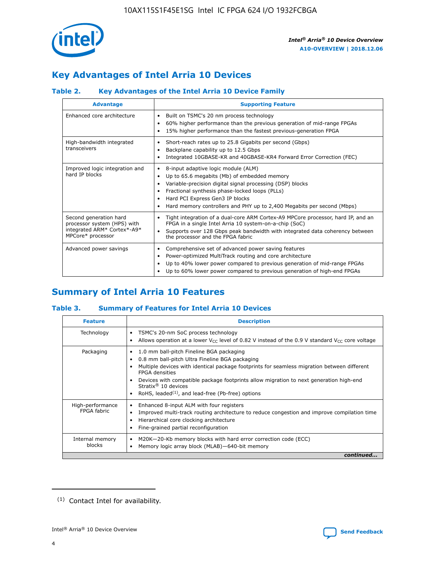

# **Key Advantages of Intel Arria 10 Devices**

## **Table 2. Key Advantages of the Intel Arria 10 Device Family**

| <b>Advantage</b>                                                                                          | <b>Supporting Feature</b>                                                                                                                                                                                                                                                                                                |  |  |  |  |  |
|-----------------------------------------------------------------------------------------------------------|--------------------------------------------------------------------------------------------------------------------------------------------------------------------------------------------------------------------------------------------------------------------------------------------------------------------------|--|--|--|--|--|
| Enhanced core architecture                                                                                | Built on TSMC's 20 nm process technology<br>٠<br>60% higher performance than the previous generation of mid-range FPGAs<br>٠<br>15% higher performance than the fastest previous-generation FPGA<br>٠                                                                                                                    |  |  |  |  |  |
| High-bandwidth integrated<br>transceivers                                                                 | Short-reach rates up to 25.8 Gigabits per second (Gbps)<br>٠<br>Backplane capability up to 12.5 Gbps<br>٠<br>Integrated 10GBASE-KR and 40GBASE-KR4 Forward Error Correction (FEC)<br>٠                                                                                                                                   |  |  |  |  |  |
| Improved logic integration and<br>hard IP blocks                                                          | 8-input adaptive logic module (ALM)<br>٠<br>Up to 65.6 megabits (Mb) of embedded memory<br>٠<br>Variable-precision digital signal processing (DSP) blocks<br>Fractional synthesis phase-locked loops (PLLs)<br>Hard PCI Express Gen3 IP blocks<br>Hard memory controllers and PHY up to 2,400 Megabits per second (Mbps) |  |  |  |  |  |
| Second generation hard<br>processor system (HPS) with<br>integrated ARM* Cortex*-A9*<br>MPCore* processor | Tight integration of a dual-core ARM Cortex-A9 MPCore processor, hard IP, and an<br>٠<br>FPGA in a single Intel Arria 10 system-on-a-chip (SoC)<br>Supports over 128 Gbps peak bandwidth with integrated data coherency between<br>$\bullet$<br>the processor and the FPGA fabric                                        |  |  |  |  |  |
| Advanced power savings                                                                                    | Comprehensive set of advanced power saving features<br>٠<br>Power-optimized MultiTrack routing and core architecture<br>٠<br>Up to 40% lower power compared to previous generation of mid-range FPGAs<br>Up to 60% lower power compared to previous generation of high-end FPGAs                                         |  |  |  |  |  |

# **Summary of Intel Arria 10 Features**

## **Table 3. Summary of Features for Intel Arria 10 Devices**

| <b>Feature</b>                  | <b>Description</b>                                                                                                                                                                                                                                                                                                                                                                                 |
|---------------------------------|----------------------------------------------------------------------------------------------------------------------------------------------------------------------------------------------------------------------------------------------------------------------------------------------------------------------------------------------------------------------------------------------------|
| Technology                      | TSMC's 20-nm SoC process technology<br>Allows operation at a lower $V_{\text{CC}}$ level of 0.82 V instead of the 0.9 V standard $V_{\text{CC}}$ core voltage                                                                                                                                                                                                                                      |
| Packaging                       | 1.0 mm ball-pitch Fineline BGA packaging<br>٠<br>0.8 mm ball-pitch Ultra Fineline BGA packaging<br>Multiple devices with identical package footprints for seamless migration between different<br><b>FPGA</b> densities<br>Devices with compatible package footprints allow migration to next generation high-end<br>Stratix $@10$ devices<br>RoHS, leaded $(1)$ , and lead-free (Pb-free) options |
| High-performance<br>FPGA fabric | Enhanced 8-input ALM with four registers<br>Improved multi-track routing architecture to reduce congestion and improve compilation time<br>Hierarchical core clocking architecture<br>Fine-grained partial reconfiguration                                                                                                                                                                         |
| Internal memory<br>blocks       | M20K-20-Kb memory blocks with hard error correction code (ECC)<br>Memory logic array block (MLAB)-640-bit memory                                                                                                                                                                                                                                                                                   |
|                                 | continued                                                                                                                                                                                                                                                                                                                                                                                          |



<sup>(1)</sup> Contact Intel for availability.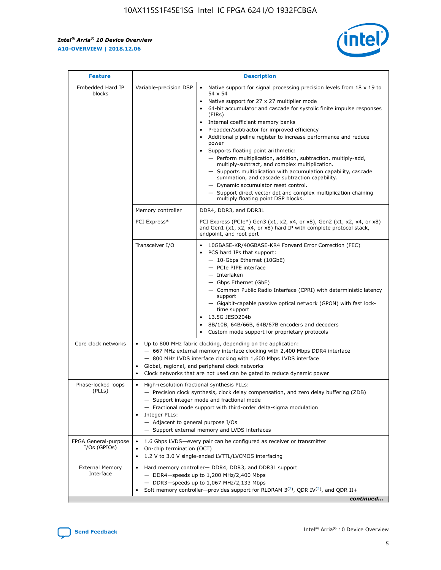r



| <b>Feature</b>                         |                                                                                                                                                                                                                                                                                                                      | <b>Description</b>                                                                                                                                                                                                                                                                                                                                                                                                                                                                                                                                                                                                                                                                                                                                                                                                                     |  |  |  |  |  |
|----------------------------------------|----------------------------------------------------------------------------------------------------------------------------------------------------------------------------------------------------------------------------------------------------------------------------------------------------------------------|----------------------------------------------------------------------------------------------------------------------------------------------------------------------------------------------------------------------------------------------------------------------------------------------------------------------------------------------------------------------------------------------------------------------------------------------------------------------------------------------------------------------------------------------------------------------------------------------------------------------------------------------------------------------------------------------------------------------------------------------------------------------------------------------------------------------------------------|--|--|--|--|--|
| Embedded Hard IP<br>blocks             | Variable-precision DSP                                                                                                                                                                                                                                                                                               | Native support for signal processing precision levels from $18 \times 19$ to<br>54 x 54<br>Native support for 27 x 27 multiplier mode<br>64-bit accumulator and cascade for systolic finite impulse responses<br>(FIRs)<br>Internal coefficient memory banks<br>$\bullet$<br>Preadder/subtractor for improved efficiency<br>Additional pipeline register to increase performance and reduce<br>power<br>Supports floating point arithmetic:<br>- Perform multiplication, addition, subtraction, multiply-add,<br>multiply-subtract, and complex multiplication.<br>- Supports multiplication with accumulation capability, cascade<br>summation, and cascade subtraction capability.<br>- Dynamic accumulator reset control.<br>- Support direct vector dot and complex multiplication chaining<br>multiply floating point DSP blocks. |  |  |  |  |  |
|                                        | Memory controller                                                                                                                                                                                                                                                                                                    | DDR4, DDR3, and DDR3L                                                                                                                                                                                                                                                                                                                                                                                                                                                                                                                                                                                                                                                                                                                                                                                                                  |  |  |  |  |  |
|                                        | PCI Express*                                                                                                                                                                                                                                                                                                         | PCI Express (PCIe*) Gen3 (x1, x2, x4, or x8), Gen2 (x1, x2, x4, or x8)<br>and Gen1 (x1, x2, x4, or x8) hard IP with complete protocol stack,<br>endpoint, and root port                                                                                                                                                                                                                                                                                                                                                                                                                                                                                                                                                                                                                                                                |  |  |  |  |  |
|                                        | Transceiver I/O                                                                                                                                                                                                                                                                                                      | 10GBASE-KR/40GBASE-KR4 Forward Error Correction (FEC)<br>PCS hard IPs that support:<br>$\bullet$<br>- 10-Gbps Ethernet (10GbE)<br>- PCIe PIPE interface<br>- Interlaken<br>- Gbps Ethernet (GbE)<br>- Common Public Radio Interface (CPRI) with deterministic latency<br>support<br>- Gigabit-capable passive optical network (GPON) with fast lock-<br>time support<br>13.5G JESD204b<br>8B/10B, 64B/66B, 64B/67B encoders and decoders<br>Custom mode support for proprietary protocols                                                                                                                                                                                                                                                                                                                                              |  |  |  |  |  |
| Core clock networks                    | $\bullet$<br>٠                                                                                                                                                                                                                                                                                                       | Up to 800 MHz fabric clocking, depending on the application:<br>- 667 MHz external memory interface clocking with 2,400 Mbps DDR4 interface<br>- 800 MHz LVDS interface clocking with 1,600 Mbps LVDS interface<br>Global, regional, and peripheral clock networks<br>Clock networks that are not used can be gated to reduce dynamic power                                                                                                                                                                                                                                                                                                                                                                                                                                                                                            |  |  |  |  |  |
| Phase-locked loops<br>(PLLs)           | High-resolution fractional synthesis PLLs:<br>$\bullet$<br>Integer PLLs:<br>- Adjacent to general purpose I/Os                                                                                                                                                                                                       | - Precision clock synthesis, clock delay compensation, and zero delay buffering (ZDB)<br>- Support integer mode and fractional mode<br>- Fractional mode support with third-order delta-sigma modulation<br>- Support external memory and LVDS interfaces                                                                                                                                                                                                                                                                                                                                                                                                                                                                                                                                                                              |  |  |  |  |  |
| FPGA General-purpose<br>$I/Os$ (GPIOs) | On-chip termination (OCT)                                                                                                                                                                                                                                                                                            | 1.6 Gbps LVDS-every pair can be configured as receiver or transmitter                                                                                                                                                                                                                                                                                                                                                                                                                                                                                                                                                                                                                                                                                                                                                                  |  |  |  |  |  |
| <b>External Memory</b><br>Interface    | 1.2 V to 3.0 V single-ended LVTTL/LVCMOS interfacing<br>Hard memory controller- DDR4, DDR3, and DDR3L support<br>$-$ DDR4-speeds up to 1,200 MHz/2,400 Mbps<br>- DDR3-speeds up to 1,067 MHz/2,133 Mbps<br>Soft memory controller—provides support for RLDRAM $3^{(2)}$ , QDR IV $^{(2)}$ , and QDR II+<br>continued |                                                                                                                                                                                                                                                                                                                                                                                                                                                                                                                                                                                                                                                                                                                                                                                                                                        |  |  |  |  |  |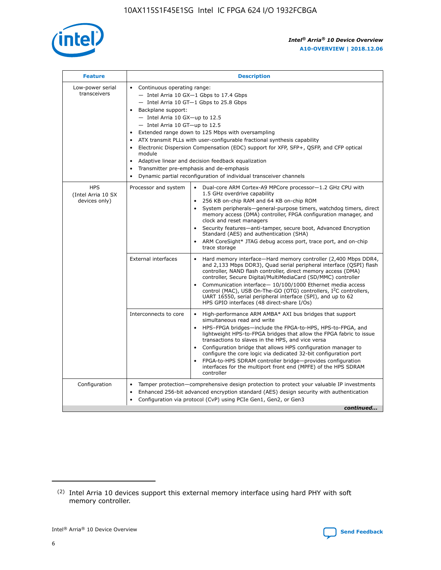

| <b>Feature</b>                                    | <b>Description</b>                                                                                                                                                                                                                                                                                                                                                                                                                                                                                                                                                                                                                             |  |  |  |  |  |  |  |
|---------------------------------------------------|------------------------------------------------------------------------------------------------------------------------------------------------------------------------------------------------------------------------------------------------------------------------------------------------------------------------------------------------------------------------------------------------------------------------------------------------------------------------------------------------------------------------------------------------------------------------------------------------------------------------------------------------|--|--|--|--|--|--|--|
| Low-power serial<br>transceivers                  | • Continuous operating range:<br>- Intel Arria 10 GX-1 Gbps to 17.4 Gbps<br>- Intel Arria 10 GT-1 Gbps to 25.8 Gbps<br>Backplane support:<br>$-$ Intel Arria 10 GX-up to 12.5<br>$-$ Intel Arria 10 GT-up to 12.5<br>Extended range down to 125 Mbps with oversampling<br>ATX transmit PLLs with user-configurable fractional synthesis capability<br>• Electronic Dispersion Compensation (EDC) support for XFP, SFP+, QSFP, and CFP optical<br>module<br>• Adaptive linear and decision feedback equalization<br>Transmitter pre-emphasis and de-emphasis<br>$\bullet$<br>Dynamic partial reconfiguration of individual transceiver channels |  |  |  |  |  |  |  |
| <b>HPS</b><br>(Intel Arria 10 SX<br>devices only) | Processor and system<br>Dual-core ARM Cortex-A9 MPCore processor-1.2 GHz CPU with<br>$\bullet$<br>1.5 GHz overdrive capability<br>256 KB on-chip RAM and 64 KB on-chip ROM<br>$\bullet$<br>System peripherals-general-purpose timers, watchdog timers, direct<br>memory access (DMA) controller, FPGA configuration manager, and<br>clock and reset managers<br>• Security features—anti-tamper, secure boot, Advanced Encryption<br>Standard (AES) and authentication (SHA)<br>ARM CoreSight* JTAG debug access port, trace port, and on-chip<br>trace storage                                                                                |  |  |  |  |  |  |  |
|                                                   | <b>External interfaces</b><br>Hard memory interface—Hard memory controller (2,400 Mbps DDR4,<br>$\bullet$<br>and 2,133 Mbps DDR3), Quad serial peripheral interface (QSPI) flash<br>controller, NAND flash controller, direct memory access (DMA)<br>controller, Secure Digital/MultiMediaCard (SD/MMC) controller<br>Communication interface-10/100/1000 Ethernet media access<br>control (MAC), USB On-The-GO (OTG) controllers, I <sup>2</sup> C controllers,<br>UART 16550, serial peripheral interface (SPI), and up to 62<br>HPS GPIO interfaces (48 direct-share I/Os)                                                                  |  |  |  |  |  |  |  |
|                                                   | High-performance ARM AMBA* AXI bus bridges that support<br>Interconnects to core<br>$\bullet$<br>simultaneous read and write<br>HPS-FPGA bridges—include the FPGA-to-HPS, HPS-to-FPGA, and<br>$\bullet$<br>lightweight HPS-to-FPGA bridges that allow the FPGA fabric to issue<br>transactions to slaves in the HPS, and vice versa<br>Configuration bridge that allows HPS configuration manager to<br>configure the core logic via dedicated 32-bit configuration port<br>FPGA-to-HPS SDRAM controller bridge-provides configuration<br>interfaces for the multiport front end (MPFE) of the HPS SDRAM<br>controller                         |  |  |  |  |  |  |  |
| Configuration                                     | Tamper protection—comprehensive design protection to protect your valuable IP investments<br>Enhanced 256-bit advanced encryption standard (AES) design security with authentication<br>$\bullet$<br>Configuration via protocol (CvP) using PCIe Gen1, Gen2, or Gen3<br>continued                                                                                                                                                                                                                                                                                                                                                              |  |  |  |  |  |  |  |

<sup>(2)</sup> Intel Arria 10 devices support this external memory interface using hard PHY with soft memory controller.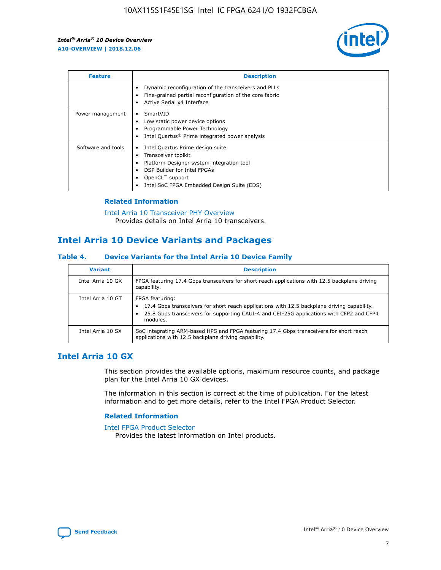

| <b>Feature</b>     | <b>Description</b>                                                                                                                                                                                               |
|--------------------|------------------------------------------------------------------------------------------------------------------------------------------------------------------------------------------------------------------|
|                    | Dynamic reconfiguration of the transceivers and PLLs<br>Fine-grained partial reconfiguration of the core fabric<br>Active Serial x4 Interface<br>$\bullet$                                                       |
| Power management   | SmartVID<br>Low static power device options<br>Programmable Power Technology<br>Intel Quartus <sup>®</sup> Prime integrated power analysis                                                                       |
| Software and tools | Intel Quartus Prime design suite<br>Transceiver toolkit<br>Platform Designer system integration tool<br>DSP Builder for Intel FPGAs<br>OpenCL <sup>™</sup> support<br>Intel SoC FPGA Embedded Design Suite (EDS) |

## **Related Information**

[Intel Arria 10 Transceiver PHY Overview](https://www.intel.com/content/www/us/en/programmable/documentation/nik1398707230472.html#nik1398706768037) Provides details on Intel Arria 10 transceivers.

# **Intel Arria 10 Device Variants and Packages**

#### **Table 4. Device Variants for the Intel Arria 10 Device Family**

| <b>Variant</b>    | <b>Description</b>                                                                                                                                                                                                     |
|-------------------|------------------------------------------------------------------------------------------------------------------------------------------------------------------------------------------------------------------------|
| Intel Arria 10 GX | FPGA featuring 17.4 Gbps transceivers for short reach applications with 12.5 backplane driving<br>capability.                                                                                                          |
| Intel Arria 10 GT | FPGA featuring:<br>17.4 Gbps transceivers for short reach applications with 12.5 backplane driving capability.<br>25.8 Gbps transceivers for supporting CAUI-4 and CEI-25G applications with CFP2 and CFP4<br>modules. |
| Intel Arria 10 SX | SoC integrating ARM-based HPS and FPGA featuring 17.4 Gbps transceivers for short reach<br>applications with 12.5 backplane driving capability.                                                                        |

## **Intel Arria 10 GX**

This section provides the available options, maximum resource counts, and package plan for the Intel Arria 10 GX devices.

The information in this section is correct at the time of publication. For the latest information and to get more details, refer to the Intel FPGA Product Selector.

### **Related Information**

#### [Intel FPGA Product Selector](http://www.altera.com/products/selector/psg-selector.html) Provides the latest information on Intel products.

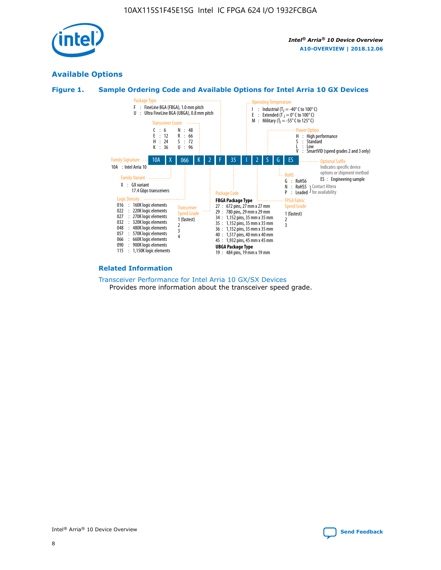

## **Available Options**





#### **Related Information**

[Transceiver Performance for Intel Arria 10 GX/SX Devices](https://www.intel.com/content/www/us/en/programmable/documentation/mcn1413182292568.html#mcn1413213965502) Provides more information about the transceiver speed grade.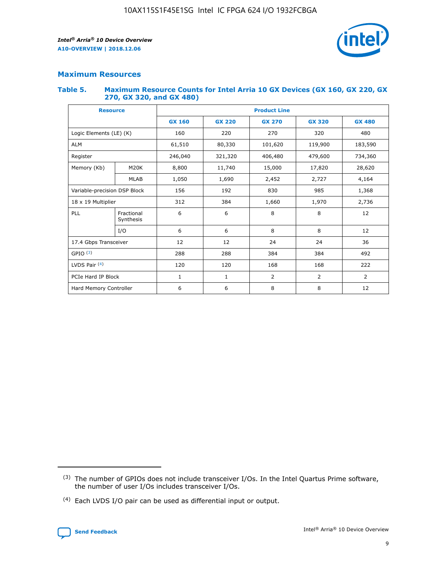

## **Maximum Resources**

#### **Table 5. Maximum Resource Counts for Intel Arria 10 GX Devices (GX 160, GX 220, GX 270, GX 320, and GX 480)**

| <b>Resource</b>              |                         | <b>Product Line</b> |                                                 |                |                |                |  |  |  |
|------------------------------|-------------------------|---------------------|-------------------------------------------------|----------------|----------------|----------------|--|--|--|
|                              |                         | <b>GX 160</b>       | <b>GX 220</b><br><b>GX 270</b><br><b>GX 320</b> |                |                | <b>GX 480</b>  |  |  |  |
| Logic Elements (LE) (K)      |                         | 160                 | 220                                             | 270            | 320            | 480            |  |  |  |
| <b>ALM</b>                   |                         | 61,510              | 80,330                                          | 101,620        | 119,900        | 183,590        |  |  |  |
| Register                     |                         | 246,040             | 406,480<br>479,600<br>321,320                   |                |                | 734,360        |  |  |  |
| Memory (Kb)                  | M <sub>20</sub> K       | 8,800               | 11,740                                          | 15,000         | 17,820         | 28,620         |  |  |  |
|                              | <b>MLAB</b>             | 1,050               | 1,690                                           | 2,452          | 2,727          | 4,164          |  |  |  |
| Variable-precision DSP Block |                         | 156                 | 192                                             | 830            | 985            | 1,368          |  |  |  |
| 18 x 19 Multiplier           |                         | 312                 | 384                                             | 1,970<br>1,660 |                | 2,736          |  |  |  |
| PLL                          | Fractional<br>Synthesis | 6                   | 6                                               | 8              | 8              | 12             |  |  |  |
|                              | I/O                     | 6                   | 6                                               | 8              | 8              | 12             |  |  |  |
| 17.4 Gbps Transceiver        |                         | 12                  | 12                                              | 24             | 24             | 36             |  |  |  |
| GPIO <sup>(3)</sup>          |                         | 288                 | 288                                             | 384            | 384            |                |  |  |  |
| LVDS Pair $(4)$              |                         | 120                 | 120                                             | 168            | 168            | 222            |  |  |  |
| PCIe Hard IP Block           |                         | 1                   | 1                                               | 2              | $\overline{2}$ | $\overline{2}$ |  |  |  |
| Hard Memory Controller       |                         | 6                   | 6                                               | 8              | 8              | 12             |  |  |  |

<sup>(4)</sup> Each LVDS I/O pair can be used as differential input or output.



<sup>(3)</sup> The number of GPIOs does not include transceiver I/Os. In the Intel Quartus Prime software, the number of user I/Os includes transceiver I/Os.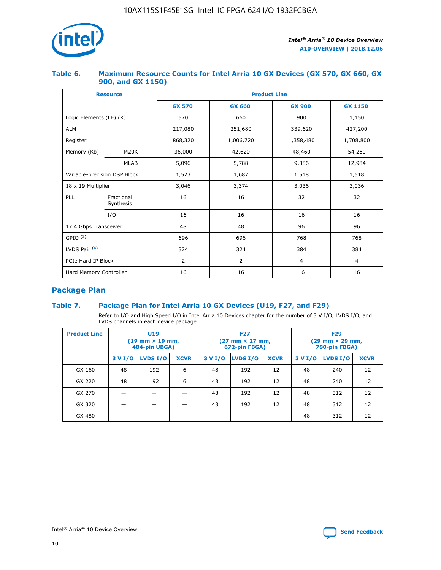

## **Table 6. Maximum Resource Counts for Intel Arria 10 GX Devices (GX 570, GX 660, GX 900, and GX 1150)**

|                              | <b>Resource</b>         | <b>Product Line</b> |                        |                |                |  |  |  |
|------------------------------|-------------------------|---------------------|------------------------|----------------|----------------|--|--|--|
|                              |                         | <b>GX 570</b>       | <b>GX 660</b>          | <b>GX 900</b>  | <b>GX 1150</b> |  |  |  |
| Logic Elements (LE) (K)      |                         | 570                 | 660                    | 900            | 1,150          |  |  |  |
| <b>ALM</b>                   |                         | 217,080             | 251,680                | 339,620        | 427,200        |  |  |  |
| Register                     |                         | 868,320             | 1,006,720<br>1,358,480 |                | 1,708,800      |  |  |  |
| Memory (Kb)                  | <b>M20K</b>             | 36,000              | 42,620                 | 48,460         | 54,260         |  |  |  |
|                              | <b>MLAB</b>             | 5,096               | 5,788                  | 9,386          | 12,984         |  |  |  |
| Variable-precision DSP Block |                         | 1,523               | 1,687                  | 1,518          | 1,518          |  |  |  |
| $18 \times 19$ Multiplier    |                         | 3,046               | 3,374                  | 3,036          | 3,036          |  |  |  |
| PLL                          | Fractional<br>Synthesis | 16                  | 16                     | 32             | 32             |  |  |  |
|                              | I/O                     | 16                  | 16                     | 16             | 16             |  |  |  |
| 17.4 Gbps Transceiver        |                         | 48                  | 48<br>96               |                | 96             |  |  |  |
| GPIO <sup>(3)</sup>          |                         | 696                 | 696                    | 768            | 768            |  |  |  |
| LVDS Pair $(4)$              |                         | 324                 | 324                    | 384            | 384            |  |  |  |
| PCIe Hard IP Block           |                         | 2                   | $\overline{2}$         | $\overline{4}$ | $\overline{4}$ |  |  |  |
| Hard Memory Controller       |                         | 16                  | 16                     | 16             | 16             |  |  |  |

## **Package Plan**

## **Table 7. Package Plan for Intel Arria 10 GX Devices (U19, F27, and F29)**

Refer to I/O and High Speed I/O in Intel Arria 10 Devices chapter for the number of 3 V I/O, LVDS I/O, and LVDS channels in each device package.

| <b>Product Line</b> | U <sub>19</sub><br>$(19 \text{ mm} \times 19 \text{ mm})$<br>484-pin UBGA) |          |             |         | <b>F27</b><br>(27 mm × 27 mm,<br>672-pin FBGA) |             | <b>F29</b><br>$(29 \text{ mm} \times 29 \text{ mm})$<br>780-pin FBGA) |          |             |  |
|---------------------|----------------------------------------------------------------------------|----------|-------------|---------|------------------------------------------------|-------------|-----------------------------------------------------------------------|----------|-------------|--|
|                     | 3 V I/O                                                                    | LVDS I/O | <b>XCVR</b> | 3 V I/O | LVDS I/O                                       | <b>XCVR</b> | 3 V I/O                                                               | LVDS I/O | <b>XCVR</b> |  |
| GX 160              | 48                                                                         | 192      | 6           | 48      | 192                                            | 12          | 48                                                                    | 240      | 12          |  |
| GX 220              | 48                                                                         | 192      | 6           | 48      | 192                                            | 12          | 48                                                                    | 240      | 12          |  |
| GX 270              |                                                                            |          |             | 48      | 192                                            | 12          | 48                                                                    | 312      | 12          |  |
| GX 320              |                                                                            |          |             | 48      | 192                                            | 12          | 48                                                                    | 312      | 12          |  |
| GX 480              |                                                                            |          |             |         |                                                |             | 48                                                                    | 312      | 12          |  |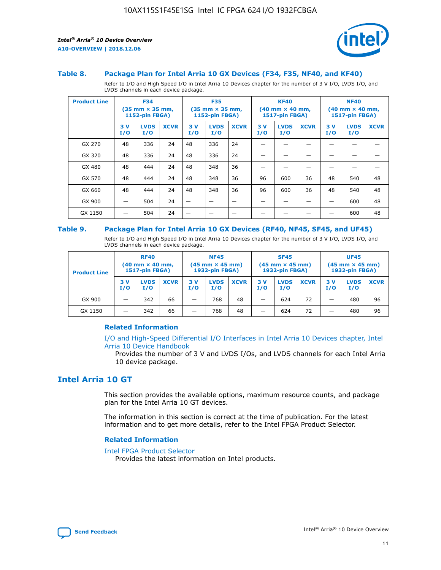

#### **Table 8. Package Plan for Intel Arria 10 GX Devices (F34, F35, NF40, and KF40)**

Refer to I/O and High Speed I/O in Intel Arria 10 Devices chapter for the number of 3 V I/O, LVDS I/O, and LVDS channels in each device package.

| <b>Product Line</b> | <b>F34</b><br>$(35 \text{ mm} \times 35 \text{ mm})$<br><b>1152-pin FBGA)</b> |                    | <b>F35</b><br>$(35 \text{ mm} \times 35 \text{ mm})$<br><b>1152-pin FBGA)</b> |           | <b>KF40</b><br>$(40$ mm $\times$ 40 mm,<br><b>1517-pin FBGA)</b> |             |           | <b>NF40</b><br>$(40 \text{ mm} \times 40 \text{ mm})$<br>1517-pin FBGA) |             |           |                    |             |
|---------------------|-------------------------------------------------------------------------------|--------------------|-------------------------------------------------------------------------------|-----------|------------------------------------------------------------------|-------------|-----------|-------------------------------------------------------------------------|-------------|-----------|--------------------|-------------|
|                     | 3V<br>I/O                                                                     | <b>LVDS</b><br>I/O | <b>XCVR</b>                                                                   | 3V<br>I/O | <b>LVDS</b><br>I/O                                               | <b>XCVR</b> | 3V<br>I/O | <b>LVDS</b><br>I/O                                                      | <b>XCVR</b> | 3V<br>I/O | <b>LVDS</b><br>I/O | <b>XCVR</b> |
| GX 270              | 48                                                                            | 336                | 24                                                                            | 48        | 336                                                              | 24          |           |                                                                         |             |           |                    |             |
| GX 320              | 48                                                                            | 336                | 24                                                                            | 48        | 336                                                              | 24          |           |                                                                         |             |           |                    |             |
| GX 480              | 48                                                                            | 444                | 24                                                                            | 48        | 348                                                              | 36          |           |                                                                         |             |           |                    |             |
| GX 570              | 48                                                                            | 444                | 24                                                                            | 48        | 348                                                              | 36          | 96        | 600                                                                     | 36          | 48        | 540                | 48          |
| GX 660              | 48                                                                            | 444                | 24                                                                            | 48        | 348                                                              | 36          | 96        | 600                                                                     | 36          | 48        | 540                | 48          |
| GX 900              |                                                                               | 504                | 24                                                                            | –         |                                                                  | -           |           |                                                                         |             |           | 600                | 48          |
| GX 1150             |                                                                               | 504                | 24                                                                            |           |                                                                  |             |           |                                                                         |             |           | 600                | 48          |

#### **Table 9. Package Plan for Intel Arria 10 GX Devices (RF40, NF45, SF45, and UF45)**

Refer to I/O and High Speed I/O in Intel Arria 10 Devices chapter for the number of 3 V I/O, LVDS I/O, and LVDS channels in each device package.

| <b>Product Line</b> | <b>RF40</b><br>$(40$ mm $\times$ 40 mm,<br>1517-pin FBGA) |                    |             | <b>NF45</b><br>$(45 \text{ mm} \times 45 \text{ mm})$<br><b>1932-pin FBGA)</b> |                    |             | <b>SF45</b><br>$(45 \text{ mm} \times 45 \text{ mm})$<br><b>1932-pin FBGA)</b> |                    |             | <b>UF45</b><br>$(45 \text{ mm} \times 45 \text{ mm})$<br><b>1932-pin FBGA)</b> |                    |             |
|---------------------|-----------------------------------------------------------|--------------------|-------------|--------------------------------------------------------------------------------|--------------------|-------------|--------------------------------------------------------------------------------|--------------------|-------------|--------------------------------------------------------------------------------|--------------------|-------------|
|                     | 3V<br>I/O                                                 | <b>LVDS</b><br>I/O | <b>XCVR</b> | 3 V<br>I/O                                                                     | <b>LVDS</b><br>I/O | <b>XCVR</b> | 3 V<br>I/O                                                                     | <b>LVDS</b><br>I/O | <b>XCVR</b> | 3V<br>I/O                                                                      | <b>LVDS</b><br>I/O | <b>XCVR</b> |
| GX 900              |                                                           | 342                | 66          | _                                                                              | 768                | 48          |                                                                                | 624                | 72          |                                                                                | 480                | 96          |
| GX 1150             |                                                           | 342                | 66          | _                                                                              | 768                | 48          |                                                                                | 624                | 72          |                                                                                | 480                | 96          |

### **Related Information**

[I/O and High-Speed Differential I/O Interfaces in Intel Arria 10 Devices chapter, Intel](https://www.intel.com/content/www/us/en/programmable/documentation/sam1403482614086.html#sam1403482030321) [Arria 10 Device Handbook](https://www.intel.com/content/www/us/en/programmable/documentation/sam1403482614086.html#sam1403482030321)

Provides the number of 3 V and LVDS I/Os, and LVDS channels for each Intel Arria 10 device package.

## **Intel Arria 10 GT**

This section provides the available options, maximum resource counts, and package plan for the Intel Arria 10 GT devices.

The information in this section is correct at the time of publication. For the latest information and to get more details, refer to the Intel FPGA Product Selector.

#### **Related Information**

#### [Intel FPGA Product Selector](http://www.altera.com/products/selector/psg-selector.html)

Provides the latest information on Intel products.

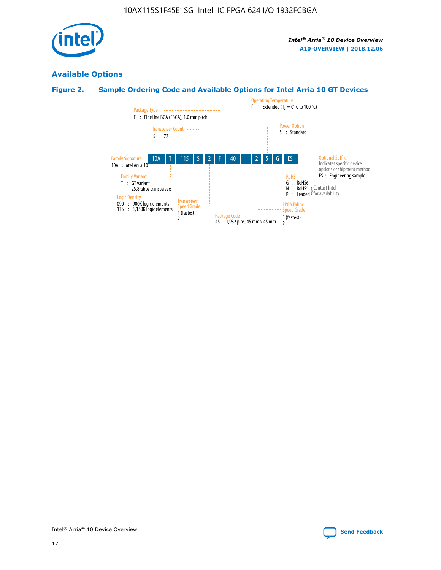

## **Available Options**

## **Figure 2. Sample Ordering Code and Available Options for Intel Arria 10 GT Devices**

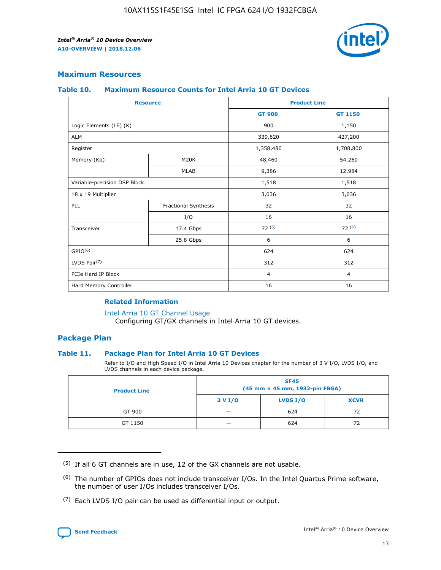

## **Maximum Resources**

#### **Table 10. Maximum Resource Counts for Intel Arria 10 GT Devices**

| <b>Resource</b>              |                      | <b>Product Line</b> |                |  |
|------------------------------|----------------------|---------------------|----------------|--|
|                              |                      | <b>GT 900</b>       | <b>GT 1150</b> |  |
| Logic Elements (LE) (K)      |                      | 900                 | 1,150          |  |
| <b>ALM</b>                   |                      | 339,620             | 427,200        |  |
| Register                     |                      | 1,358,480           | 1,708,800      |  |
| Memory (Kb)                  | M20K                 | 48,460              | 54,260         |  |
|                              | <b>MLAB</b>          | 9,386               | 12,984         |  |
| Variable-precision DSP Block |                      | 1,518               | 1,518          |  |
| 18 x 19 Multiplier           |                      | 3,036               | 3,036          |  |
| PLL                          | Fractional Synthesis | 32                  | 32             |  |
|                              | I/O                  | 16                  | 16             |  |
| Transceiver                  | 17.4 Gbps            | 72(5)               | 72(5)          |  |
|                              | 25.8 Gbps            | 6                   | 6              |  |
| GPIO <sup>(6)</sup>          |                      | 624                 | 624            |  |
| LVDS Pair $(7)$              |                      | 312                 | 312            |  |
| PCIe Hard IP Block           |                      | $\overline{4}$      | $\overline{4}$ |  |
| Hard Memory Controller       |                      | 16                  | 16             |  |

#### **Related Information**

#### [Intel Arria 10 GT Channel Usage](https://www.intel.com/content/www/us/en/programmable/documentation/nik1398707230472.html#nik1398707008178)

Configuring GT/GX channels in Intel Arria 10 GT devices.

## **Package Plan**

### **Table 11. Package Plan for Intel Arria 10 GT Devices**

Refer to I/O and High Speed I/O in Intel Arria 10 Devices chapter for the number of 3 V I/O, LVDS I/O, and LVDS channels in each device package.

| <b>Product Line</b> | <b>SF45</b><br>(45 mm × 45 mm, 1932-pin FBGA) |                 |             |  |  |  |  |
|---------------------|-----------------------------------------------|-----------------|-------------|--|--|--|--|
|                     | 3 V I/O                                       | <b>LVDS I/O</b> | <b>XCVR</b> |  |  |  |  |
| GT 900              |                                               | 624             | 72          |  |  |  |  |
| GT 1150             |                                               | 624             | 72          |  |  |  |  |

<sup>(7)</sup> Each LVDS I/O pair can be used as differential input or output.



 $(5)$  If all 6 GT channels are in use, 12 of the GX channels are not usable.

<sup>(6)</sup> The number of GPIOs does not include transceiver I/Os. In the Intel Quartus Prime software, the number of user I/Os includes transceiver I/Os.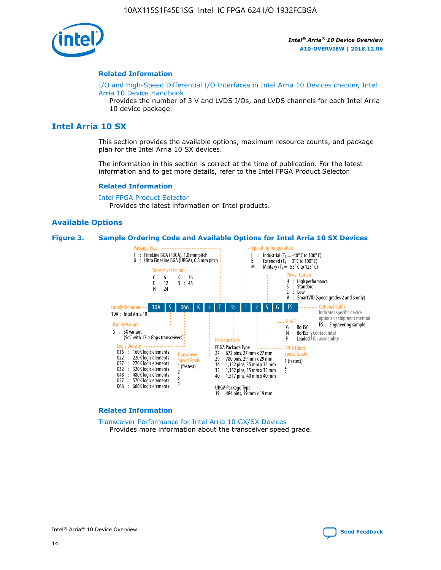

#### **Related Information**

[I/O and High-Speed Differential I/O Interfaces in Intel Arria 10 Devices chapter, Intel](https://www.intel.com/content/www/us/en/programmable/documentation/sam1403482614086.html#sam1403482030321) [Arria 10 Device Handbook](https://www.intel.com/content/www/us/en/programmable/documentation/sam1403482614086.html#sam1403482030321)

Provides the number of 3 V and LVDS I/Os, and LVDS channels for each Intel Arria 10 device package.

## **Intel Arria 10 SX**

This section provides the available options, maximum resource counts, and package plan for the Intel Arria 10 SX devices.

The information in this section is correct at the time of publication. For the latest information and to get more details, refer to the Intel FPGA Product Selector.

#### **Related Information**

[Intel FPGA Product Selector](http://www.altera.com/products/selector/psg-selector.html) Provides the latest information on Intel products.

#### **Available Options**

#### **Figure 3. Sample Ordering Code and Available Options for Intel Arria 10 SX Devices**



#### **Related Information**

[Transceiver Performance for Intel Arria 10 GX/SX Devices](https://www.intel.com/content/www/us/en/programmable/documentation/mcn1413182292568.html#mcn1413213965502) Provides more information about the transceiver speed grade.

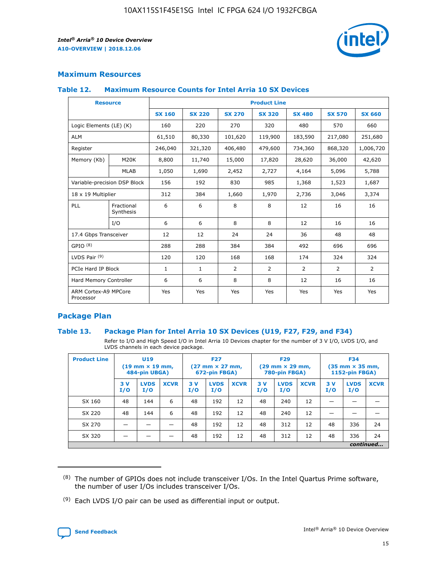

## **Maximum Resources**

### **Table 12. Maximum Resource Counts for Intel Arria 10 SX Devices**

| <b>Resource</b>                   |                         | <b>Product Line</b> |               |                |                |               |                |               |  |  |  |
|-----------------------------------|-------------------------|---------------------|---------------|----------------|----------------|---------------|----------------|---------------|--|--|--|
|                                   |                         | <b>SX 160</b>       | <b>SX 220</b> | <b>SX 270</b>  | <b>SX 320</b>  | <b>SX 480</b> | <b>SX 570</b>  | <b>SX 660</b> |  |  |  |
| Logic Elements (LE) (K)           |                         | 160                 | 220           | 270            | 320            | 480           | 570            | 660           |  |  |  |
| <b>ALM</b>                        |                         | 61,510              | 80,330        | 101,620        | 119,900        | 183,590       | 217,080        | 251,680       |  |  |  |
| Register                          |                         | 246,040             | 321,320       | 406,480        | 479,600        | 734,360       | 868,320        | 1,006,720     |  |  |  |
| Memory (Kb)                       | M <sub>20</sub> K       | 8,800               | 11,740        | 15,000         | 17,820         | 28,620        | 36,000         | 42,620        |  |  |  |
|                                   | <b>MLAB</b>             | 1,050               | 1,690         | 2,452          | 2,727          | 4,164         | 5,096          | 5,788         |  |  |  |
| Variable-precision DSP Block      |                         | 156                 | 192           | 830<br>985     |                | 1,368         | 1,523          | 1,687         |  |  |  |
| 18 x 19 Multiplier                |                         | 312                 | 384           | 1,660          | 1,970          | 2,736         | 3,046          | 3,374         |  |  |  |
| PLL                               | Fractional<br>Synthesis | 6                   | 6             | 8              | 8              | 12            | 16             | 16            |  |  |  |
|                                   | I/O                     | 6                   | 6             | 8              | 8              | 12            | 16             | 16            |  |  |  |
| 17.4 Gbps Transceiver             |                         | 12                  | 12            | 24             | 24             | 36            | 48             | 48            |  |  |  |
| GPIO <sup>(8)</sup>               |                         | 288                 | 288           | 384            | 384            | 492           | 696            | 696           |  |  |  |
| LVDS Pair $(9)$                   |                         | 120                 | 120           | 168            | 168            | 174           | 324            | 324           |  |  |  |
| PCIe Hard IP Block                |                         | $\mathbf{1}$        | 1             | $\overline{2}$ | $\overline{2}$ | 2             | $\overline{2}$ | 2             |  |  |  |
| Hard Memory Controller            |                         | 6                   | 6             | 8              | 8              | 12            | 16             | 16            |  |  |  |
| ARM Cortex-A9 MPCore<br>Processor |                         | Yes                 | Yes           | Yes            | Yes            | Yes           | Yes            | Yes           |  |  |  |

## **Package Plan**

### **Table 13. Package Plan for Intel Arria 10 SX Devices (U19, F27, F29, and F34)**

Refer to I/O and High Speed I/O in Intel Arria 10 Devices chapter for the number of 3 V I/O, LVDS I/O, and LVDS channels in each device package.

| <b>Product Line</b> | <b>U19</b><br>$(19 \text{ mm} \times 19 \text{ mm})$<br>484-pin UBGA) |                    |             | <b>F27</b><br>$(27 \text{ mm} \times 27 \text{ mm})$<br>672-pin FBGA) |                    | <b>F29</b><br>$(29 \text{ mm} \times 29 \text{ mm})$<br>780-pin FBGA) |           |                    | <b>F34</b><br>$(35 \text{ mm} \times 35 \text{ mm})$<br><b>1152-pin FBGA)</b> |           |                    |             |
|---------------------|-----------------------------------------------------------------------|--------------------|-------------|-----------------------------------------------------------------------|--------------------|-----------------------------------------------------------------------|-----------|--------------------|-------------------------------------------------------------------------------|-----------|--------------------|-------------|
|                     | 3V<br>I/O                                                             | <b>LVDS</b><br>I/O | <b>XCVR</b> | 3V<br>I/O                                                             | <b>LVDS</b><br>I/O | <b>XCVR</b>                                                           | 3V<br>I/O | <b>LVDS</b><br>I/O | <b>XCVR</b>                                                                   | 3V<br>I/O | <b>LVDS</b><br>I/O | <b>XCVR</b> |
| SX 160              | 48                                                                    | 144                | 6           | 48                                                                    | 192                | 12                                                                    | 48        | 240                | 12                                                                            | -         |                    |             |
| SX 220              | 48                                                                    | 144                | 6           | 48                                                                    | 192                | 12                                                                    | 48        | 240                | 12                                                                            |           |                    |             |
| SX 270              |                                                                       |                    |             | 48                                                                    | 192                | 12                                                                    | 48        | 312                | 12                                                                            | 48        | 336                | 24          |
| SX 320              |                                                                       |                    |             | 48                                                                    | 192                | 12                                                                    | 48        | 312                | 12                                                                            | 48        | 336                | 24          |
|                     | continued                                                             |                    |             |                                                                       |                    |                                                                       |           |                    |                                                                               |           |                    |             |

 $(8)$  The number of GPIOs does not include transceiver I/Os. In the Intel Quartus Prime software, the number of user I/Os includes transceiver I/Os.

 $(9)$  Each LVDS I/O pair can be used as differential input or output.

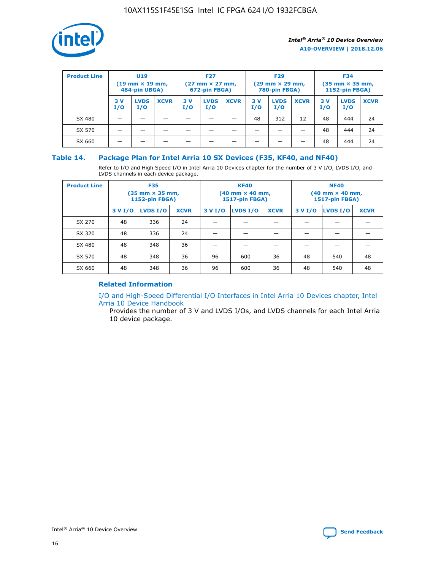

| <b>Product Line</b> | U <sub>19</sub><br>$(19 \text{ mm} \times 19 \text{ mm})$<br>484-pin UBGA) |                    | <b>F27</b><br>$(27 \text{ mm} \times 27 \text{ mm})$<br>672-pin FBGA) |           | <b>F29</b><br>$(29 \text{ mm} \times 29 \text{ mm})$<br>780-pin FBGA) |             |           | <b>F34</b><br>$(35$ mm $\times$ 35 mm,<br><b>1152-pin FBGA)</b> |             |           |                    |             |
|---------------------|----------------------------------------------------------------------------|--------------------|-----------------------------------------------------------------------|-----------|-----------------------------------------------------------------------|-------------|-----------|-----------------------------------------------------------------|-------------|-----------|--------------------|-------------|
|                     | 3V<br>I/O                                                                  | <b>LVDS</b><br>I/O | <b>XCVR</b>                                                           | 3V<br>I/O | <b>LVDS</b><br>I/O                                                    | <b>XCVR</b> | 3V<br>I/O | <b>LVDS</b><br>I/O                                              | <b>XCVR</b> | 3V<br>I/O | <b>LVDS</b><br>I/O | <b>XCVR</b> |
| SX 480              |                                                                            |                    |                                                                       |           |                                                                       |             | 48        | 312                                                             | 12          | 48        | 444                | 24          |
| SX 570              |                                                                            |                    |                                                                       |           |                                                                       |             |           |                                                                 |             | 48        | 444                | 24          |
| SX 660              |                                                                            |                    |                                                                       |           |                                                                       |             |           |                                                                 |             | 48        | 444                | 24          |

## **Table 14. Package Plan for Intel Arria 10 SX Devices (F35, KF40, and NF40)**

Refer to I/O and High Speed I/O in Intel Arria 10 Devices chapter for the number of 3 V I/O, LVDS I/O, and LVDS channels in each device package.

| <b>Product Line</b> | <b>F35</b><br>(35 mm × 35 mm,<br><b>1152-pin FBGA)</b> |          |             |                                           | <b>KF40</b><br>(40 mm × 40 mm,<br>1517-pin FBGA) |    | <b>NF40</b><br>$(40 \text{ mm} \times 40 \text{ mm})$<br><b>1517-pin FBGA)</b> |          |             |  |
|---------------------|--------------------------------------------------------|----------|-------------|-------------------------------------------|--------------------------------------------------|----|--------------------------------------------------------------------------------|----------|-------------|--|
|                     | 3 V I/O                                                | LVDS I/O | <b>XCVR</b> | <b>LVDS I/O</b><br><b>XCVR</b><br>3 V I/O |                                                  |    | 3 V I/O                                                                        | LVDS I/O | <b>XCVR</b> |  |
| SX 270              | 48                                                     | 336      | 24          |                                           |                                                  |    |                                                                                |          |             |  |
| SX 320              | 48                                                     | 336      | 24          |                                           |                                                  |    |                                                                                |          |             |  |
| SX 480              | 48                                                     | 348      | 36          |                                           |                                                  |    |                                                                                |          |             |  |
| SX 570              | 48                                                     | 348      | 36          | 96                                        | 600                                              | 36 | 48                                                                             | 540      | 48          |  |
| SX 660              | 48                                                     | 348      | 36          | 96                                        | 600                                              | 36 | 48                                                                             | 540      | 48          |  |

## **Related Information**

[I/O and High-Speed Differential I/O Interfaces in Intel Arria 10 Devices chapter, Intel](https://www.intel.com/content/www/us/en/programmable/documentation/sam1403482614086.html#sam1403482030321) [Arria 10 Device Handbook](https://www.intel.com/content/www/us/en/programmable/documentation/sam1403482614086.html#sam1403482030321)

Provides the number of 3 V and LVDS I/Os, and LVDS channels for each Intel Arria 10 device package.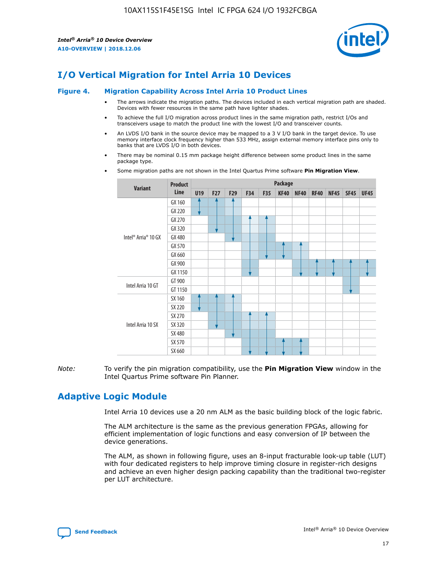

# **I/O Vertical Migration for Intel Arria 10 Devices**

#### **Figure 4. Migration Capability Across Intel Arria 10 Product Lines**

- The arrows indicate the migration paths. The devices included in each vertical migration path are shaded. Devices with fewer resources in the same path have lighter shades.
- To achieve the full I/O migration across product lines in the same migration path, restrict I/Os and transceivers usage to match the product line with the lowest I/O and transceiver counts.
- An LVDS I/O bank in the source device may be mapped to a 3 V I/O bank in the target device. To use memory interface clock frequency higher than 533 MHz, assign external memory interface pins only to banks that are LVDS I/O in both devices.
- There may be nominal 0.15 mm package height difference between some product lines in the same package type.
	- **Variant Product Line Package U19 F27 F29 F34 F35 KF40 NF40 RF40 NF45 SF45 UF45** Intel® Arria® 10 GX GX 160 GX 220 GX 270 GX 320 GX 480 GX 570 GX 660 GX 900 GX 1150 Intel Arria 10 GT GT 900 GT 1150 Intel Arria 10 SX SX 160 SX 220 SX 270 SX 320 SX 480 SX 570 SX 660
- Some migration paths are not shown in the Intel Quartus Prime software **Pin Migration View**.

*Note:* To verify the pin migration compatibility, use the **Pin Migration View** window in the Intel Quartus Prime software Pin Planner.

# **Adaptive Logic Module**

Intel Arria 10 devices use a 20 nm ALM as the basic building block of the logic fabric.

The ALM architecture is the same as the previous generation FPGAs, allowing for efficient implementation of logic functions and easy conversion of IP between the device generations.

The ALM, as shown in following figure, uses an 8-input fracturable look-up table (LUT) with four dedicated registers to help improve timing closure in register-rich designs and achieve an even higher design packing capability than the traditional two-register per LUT architecture.

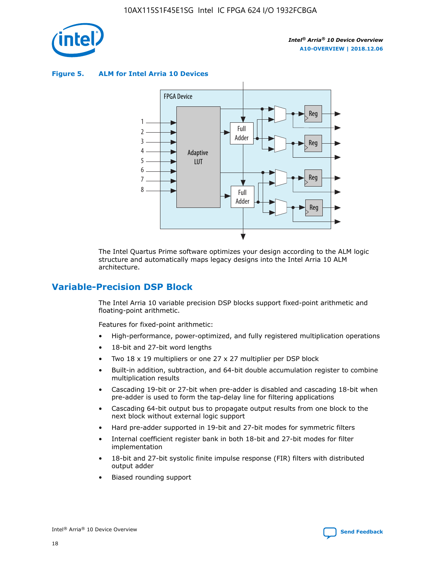

**Figure 5. ALM for Intel Arria 10 Devices**



The Intel Quartus Prime software optimizes your design according to the ALM logic structure and automatically maps legacy designs into the Intel Arria 10 ALM architecture.

## **Variable-Precision DSP Block**

The Intel Arria 10 variable precision DSP blocks support fixed-point arithmetic and floating-point arithmetic.

Features for fixed-point arithmetic:

- High-performance, power-optimized, and fully registered multiplication operations
- 18-bit and 27-bit word lengths
- Two 18 x 19 multipliers or one 27 x 27 multiplier per DSP block
- Built-in addition, subtraction, and 64-bit double accumulation register to combine multiplication results
- Cascading 19-bit or 27-bit when pre-adder is disabled and cascading 18-bit when pre-adder is used to form the tap-delay line for filtering applications
- Cascading 64-bit output bus to propagate output results from one block to the next block without external logic support
- Hard pre-adder supported in 19-bit and 27-bit modes for symmetric filters
- Internal coefficient register bank in both 18-bit and 27-bit modes for filter implementation
- 18-bit and 27-bit systolic finite impulse response (FIR) filters with distributed output adder
- Biased rounding support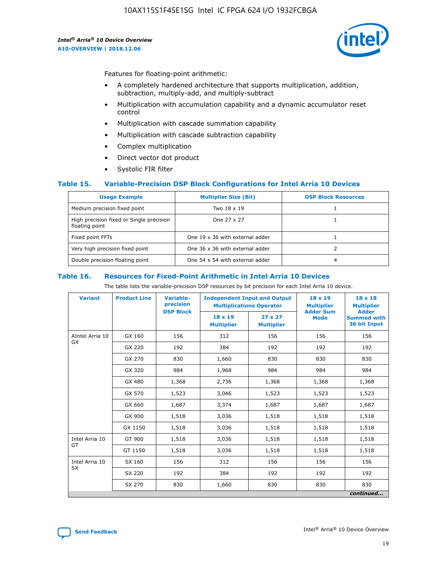

Features for floating-point arithmetic:

- A completely hardened architecture that supports multiplication, addition, subtraction, multiply-add, and multiply-subtract
- Multiplication with accumulation capability and a dynamic accumulator reset control
- Multiplication with cascade summation capability
- Multiplication with cascade subtraction capability
- Complex multiplication
- Direct vector dot product
- Systolic FIR filter

### **Table 15. Variable-Precision DSP Block Configurations for Intel Arria 10 Devices**

| <b>Usage Example</b>                                       | <b>Multiplier Size (Bit)</b>    | <b>DSP Block Resources</b> |
|------------------------------------------------------------|---------------------------------|----------------------------|
| Medium precision fixed point                               | Two 18 x 19                     |                            |
| High precision fixed or Single precision<br>floating point | One 27 x 27                     |                            |
| Fixed point FFTs                                           | One 19 x 36 with external adder |                            |
| Very high precision fixed point                            | One 36 x 36 with external adder |                            |
| Double precision floating point                            | One 54 x 54 with external adder | 4                          |

#### **Table 16. Resources for Fixed-Point Arithmetic in Intel Arria 10 Devices**

The table lists the variable-precision DSP resources by bit precision for each Intel Arria 10 device.

| <b>Variant</b>  | <b>Product Line</b> | Variable-<br>precision<br><b>DSP Block</b> | <b>Independent Input and Output</b><br><b>Multiplications Operator</b> |                                     | 18 x 19<br><b>Multiplier</b><br><b>Adder Sum</b> | $18 \times 18$<br><b>Multiplier</b><br><b>Adder</b> |
|-----------------|---------------------|--------------------------------------------|------------------------------------------------------------------------|-------------------------------------|--------------------------------------------------|-----------------------------------------------------|
|                 |                     |                                            | 18 x 19<br><b>Multiplier</b>                                           | $27 \times 27$<br><b>Multiplier</b> | <b>Mode</b>                                      | <b>Summed with</b><br>36 bit Input                  |
| AIntel Arria 10 | GX 160              | 156                                        | 312                                                                    | 156                                 | 156                                              | 156                                                 |
| GX              | GX 220              | 192                                        | 384                                                                    | 192                                 | 192                                              | 192                                                 |
|                 | GX 270              | 830                                        | 1,660                                                                  | 830                                 | 830                                              | 830                                                 |
|                 | GX 320              | 984                                        | 1,968                                                                  | 984                                 | 984                                              | 984                                                 |
|                 | GX 480              | 1,368                                      | 2,736                                                                  | 1,368                               | 1,368                                            | 1,368                                               |
|                 | GX 570              | 1,523                                      | 3,046                                                                  | 1,523                               | 1,523                                            | 1,523                                               |
|                 | GX 660              | 1,687                                      | 3,374                                                                  | 1,687                               | 1,687                                            | 1,687                                               |
|                 | GX 900              | 1,518                                      | 3,036                                                                  | 1,518                               | 1,518                                            | 1,518                                               |
|                 | GX 1150             | 1,518                                      | 3,036                                                                  | 1,518                               | 1,518                                            | 1,518                                               |
| Intel Arria 10  | GT 900              | 1,518                                      | 3,036                                                                  | 1,518                               | 1,518                                            | 1,518                                               |
| GT              | GT 1150             | 1,518                                      | 3,036                                                                  | 1,518                               | 1,518                                            | 1,518                                               |
| Intel Arria 10  | SX 160              | 156                                        | 312                                                                    | 156                                 | 156                                              | 156                                                 |
| <b>SX</b>       | SX 220              | 192                                        | 384                                                                    | 192                                 | 192                                              | 192                                                 |
|                 | SX 270              | 830                                        | 1,660                                                                  | 830                                 | 830                                              | 830                                                 |
|                 |                     |                                            |                                                                        |                                     |                                                  | continued                                           |

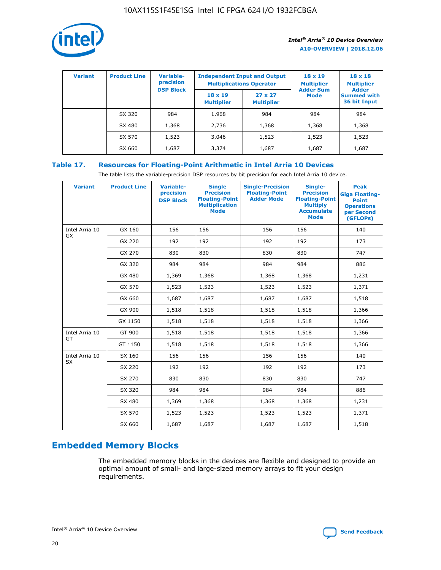

| <b>Variant</b> | <b>Product Line</b> | <b>Variable-</b><br>precision |                                     | <b>Independent Input and Output</b><br><b>Multiplications Operator</b> | $18 \times 19$<br><b>Multiplier</b> | $18 \times 18$<br><b>Multiplier</b>                |
|----------------|---------------------|-------------------------------|-------------------------------------|------------------------------------------------------------------------|-------------------------------------|----------------------------------------------------|
|                |                     | <b>DSP Block</b>              | $18 \times 19$<br><b>Multiplier</b> | $27 \times 27$<br><b>Multiplier</b>                                    | <b>Adder Sum</b><br><b>Mode</b>     | <b>Adder</b><br><b>Summed with</b><br>36 bit Input |
|                | SX 320              | 984                           | 1,968                               | 984                                                                    | 984                                 | 984                                                |
|                | SX 480              | 1,368                         | 2,736                               | 1,368                                                                  | 1,368                               | 1,368                                              |
|                | SX 570              | 1,523                         | 3,046                               | 1,523                                                                  | 1,523                               | 1,523                                              |
|                | SX 660              | 1,687                         | 3,374                               | 1,687                                                                  | 1,687                               | 1,687                                              |

## **Table 17. Resources for Floating-Point Arithmetic in Intel Arria 10 Devices**

The table lists the variable-precision DSP resources by bit precision for each Intel Arria 10 device.

| <b>Variant</b> | <b>Product Line</b> | <b>Variable-</b><br>precision<br><b>DSP Block</b> | <b>Single</b><br><b>Precision</b><br><b>Floating-Point</b><br><b>Multiplication</b><br><b>Mode</b> | <b>Single-Precision</b><br><b>Floating-Point</b><br><b>Adder Mode</b> | Single-<br><b>Precision</b><br><b>Floating-Point</b><br><b>Multiply</b><br><b>Accumulate</b><br><b>Mode</b> | <b>Peak</b><br><b>Giga Floating-</b><br><b>Point</b><br><b>Operations</b><br>per Second<br>(GFLOPs) |
|----------------|---------------------|---------------------------------------------------|----------------------------------------------------------------------------------------------------|-----------------------------------------------------------------------|-------------------------------------------------------------------------------------------------------------|-----------------------------------------------------------------------------------------------------|
| Intel Arria 10 | GX 160              | 156                                               | 156                                                                                                | 156                                                                   | 156                                                                                                         | 140                                                                                                 |
| GX             | GX 220              | 192                                               | 192                                                                                                | 192                                                                   | 192                                                                                                         | 173                                                                                                 |
|                | GX 270              | 830                                               | 830                                                                                                | 830                                                                   | 830                                                                                                         | 747                                                                                                 |
|                | GX 320              | 984                                               | 984                                                                                                | 984                                                                   | 984                                                                                                         | 886                                                                                                 |
|                | GX 480              | 1,369                                             | 1,368                                                                                              | 1,368                                                                 | 1,368                                                                                                       | 1,231                                                                                               |
|                | GX 570              | 1,523                                             | 1,523                                                                                              | 1,523                                                                 | 1,523                                                                                                       | 1,371                                                                                               |
|                | GX 660              | 1,687                                             | 1,687                                                                                              | 1,687                                                                 | 1,687                                                                                                       | 1,518                                                                                               |
|                | GX 900              | 1,518                                             | 1,518                                                                                              | 1,518                                                                 | 1,518                                                                                                       | 1,366                                                                                               |
|                | GX 1150             | 1,518                                             | 1,518                                                                                              | 1,518                                                                 | 1,518                                                                                                       | 1,366                                                                                               |
| Intel Arria 10 | GT 900              | 1,518                                             | 1,518                                                                                              | 1,518                                                                 | 1,518                                                                                                       | 1,366                                                                                               |
| GT             | GT 1150             | 1,518                                             | 1,518                                                                                              | 1,518                                                                 | 1,518                                                                                                       | 1,366                                                                                               |
| Intel Arria 10 | SX 160              | 156                                               | 156                                                                                                | 156                                                                   | 156                                                                                                         | 140                                                                                                 |
| <b>SX</b>      | SX 220              | 192                                               | 192                                                                                                | 192                                                                   | 192                                                                                                         | 173                                                                                                 |
|                | SX 270              | 830                                               | 830                                                                                                | 830                                                                   | 830                                                                                                         | 747                                                                                                 |
|                | SX 320              | 984                                               | 984                                                                                                | 984                                                                   | 984                                                                                                         | 886                                                                                                 |
|                | SX 480              | 1,369                                             | 1,368                                                                                              | 1,368                                                                 | 1,368                                                                                                       | 1,231                                                                                               |
|                | SX 570              | 1,523                                             | 1,523                                                                                              | 1,523                                                                 | 1,523                                                                                                       | 1,371                                                                                               |
|                | SX 660              | 1,687                                             | 1,687                                                                                              | 1,687                                                                 | 1,687                                                                                                       | 1,518                                                                                               |

# **Embedded Memory Blocks**

The embedded memory blocks in the devices are flexible and designed to provide an optimal amount of small- and large-sized memory arrays to fit your design requirements.

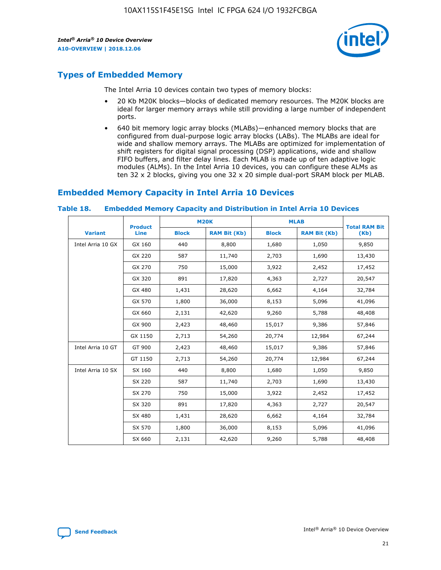

# **Types of Embedded Memory**

The Intel Arria 10 devices contain two types of memory blocks:

- 20 Kb M20K blocks—blocks of dedicated memory resources. The M20K blocks are ideal for larger memory arrays while still providing a large number of independent ports.
- 640 bit memory logic array blocks (MLABs)—enhanced memory blocks that are configured from dual-purpose logic array blocks (LABs). The MLABs are ideal for wide and shallow memory arrays. The MLABs are optimized for implementation of shift registers for digital signal processing (DSP) applications, wide and shallow FIFO buffers, and filter delay lines. Each MLAB is made up of ten adaptive logic modules (ALMs). In the Intel Arria 10 devices, you can configure these ALMs as ten 32 x 2 blocks, giving you one 32 x 20 simple dual-port SRAM block per MLAB.

# **Embedded Memory Capacity in Intel Arria 10 Devices**

|                   | <b>Product</b> | <b>M20K</b>  |                     | <b>MLAB</b>  |                     | <b>Total RAM Bit</b> |
|-------------------|----------------|--------------|---------------------|--------------|---------------------|----------------------|
| <b>Variant</b>    | <b>Line</b>    | <b>Block</b> | <b>RAM Bit (Kb)</b> | <b>Block</b> | <b>RAM Bit (Kb)</b> | (Kb)                 |
| Intel Arria 10 GX | GX 160         | 440          | 8,800               | 1,680        | 1,050               | 9,850                |
|                   | GX 220         | 587          | 11,740              | 2,703        | 1,690               | 13,430               |
|                   | GX 270         | 750          | 15,000              | 3,922        | 2,452               | 17,452               |
|                   | GX 320         | 891          | 17,820              | 4,363        | 2,727               | 20,547               |
|                   | GX 480         | 1,431        | 28,620              | 6,662        | 4,164               | 32,784               |
|                   | GX 570         | 1,800        | 36,000              | 8,153        | 5,096               | 41,096               |
|                   | GX 660         | 2,131        | 42,620              | 9,260        | 5,788               | 48,408               |
|                   | GX 900         | 2,423        | 48,460              | 15,017       | 9,386               | 57,846               |
|                   | GX 1150        | 2,713        | 54,260              | 20,774       | 12,984              | 67,244               |
| Intel Arria 10 GT | GT 900         | 2,423        | 48,460              | 15,017       | 9,386               | 57,846               |
|                   | GT 1150        | 2,713        | 54,260              | 20,774       | 12,984              | 67,244               |
| Intel Arria 10 SX | SX 160         | 440          | 8,800               | 1,680        | 1,050               | 9,850                |
|                   | SX 220         | 587          | 11,740              | 2,703        | 1,690               | 13,430               |
|                   | SX 270         | 750          | 15,000              | 3,922        | 2,452               | 17,452               |
|                   | SX 320         | 891          | 17,820              | 4,363        | 2,727               | 20,547               |
|                   | SX 480         | 1,431        | 28,620              | 6,662        | 4,164               | 32,784               |
|                   | SX 570         | 1,800        | 36,000              | 8,153        | 5,096               | 41,096               |
|                   | SX 660         | 2,131        | 42,620              | 9,260        | 5,788               | 48,408               |

#### **Table 18. Embedded Memory Capacity and Distribution in Intel Arria 10 Devices**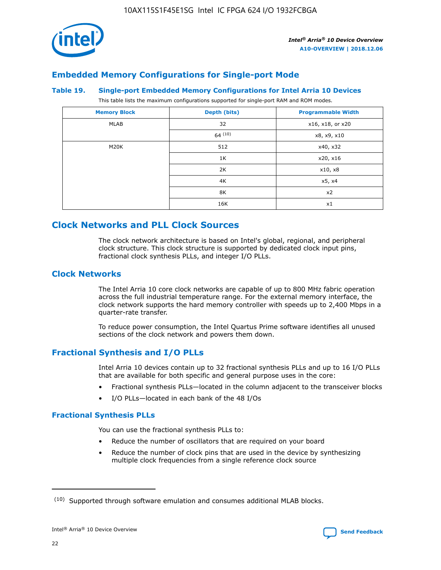

## **Embedded Memory Configurations for Single-port Mode**

#### **Table 19. Single-port Embedded Memory Configurations for Intel Arria 10 Devices**

This table lists the maximum configurations supported for single-port RAM and ROM modes.

| <b>Memory Block</b> | Depth (bits) | <b>Programmable Width</b> |
|---------------------|--------------|---------------------------|
| MLAB                | 32           | x16, x18, or x20          |
|                     | 64(10)       | x8, x9, x10               |
| M20K                | 512          | x40, x32                  |
|                     | 1K           | x20, x16                  |
|                     | 2K           | x10, x8                   |
|                     | 4K           | x5, x4                    |
|                     | 8K           | x2                        |
|                     | 16K          | x1                        |

# **Clock Networks and PLL Clock Sources**

The clock network architecture is based on Intel's global, regional, and peripheral clock structure. This clock structure is supported by dedicated clock input pins, fractional clock synthesis PLLs, and integer I/O PLLs.

## **Clock Networks**

The Intel Arria 10 core clock networks are capable of up to 800 MHz fabric operation across the full industrial temperature range. For the external memory interface, the clock network supports the hard memory controller with speeds up to 2,400 Mbps in a quarter-rate transfer.

To reduce power consumption, the Intel Quartus Prime software identifies all unused sections of the clock network and powers them down.

## **Fractional Synthesis and I/O PLLs**

Intel Arria 10 devices contain up to 32 fractional synthesis PLLs and up to 16 I/O PLLs that are available for both specific and general purpose uses in the core:

- Fractional synthesis PLLs—located in the column adjacent to the transceiver blocks
- I/O PLLs—located in each bank of the 48 I/Os

## **Fractional Synthesis PLLs**

You can use the fractional synthesis PLLs to:

- Reduce the number of oscillators that are required on your board
- Reduce the number of clock pins that are used in the device by synthesizing multiple clock frequencies from a single reference clock source

<sup>(10)</sup> Supported through software emulation and consumes additional MLAB blocks.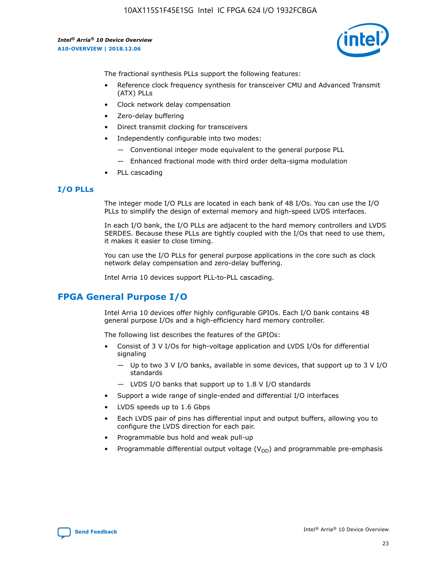10AX115S1F45E1SG Intel IC FPGA 624 I/O 1932FCBGA

*Intel® Arria® 10 Device Overview* **A10-OVERVIEW | 2018.12.06**



The fractional synthesis PLLs support the following features:

- Reference clock frequency synthesis for transceiver CMU and Advanced Transmit (ATX) PLLs
- Clock network delay compensation
- Zero-delay buffering
- Direct transmit clocking for transceivers
- Independently configurable into two modes:
	- Conventional integer mode equivalent to the general purpose PLL
	- Enhanced fractional mode with third order delta-sigma modulation
- PLL cascading

### **I/O PLLs**

The integer mode I/O PLLs are located in each bank of 48 I/Os. You can use the I/O PLLs to simplify the design of external memory and high-speed LVDS interfaces.

In each I/O bank, the I/O PLLs are adjacent to the hard memory controllers and LVDS SERDES. Because these PLLs are tightly coupled with the I/Os that need to use them, it makes it easier to close timing.

You can use the I/O PLLs for general purpose applications in the core such as clock network delay compensation and zero-delay buffering.

Intel Arria 10 devices support PLL-to-PLL cascading.

## **FPGA General Purpose I/O**

Intel Arria 10 devices offer highly configurable GPIOs. Each I/O bank contains 48 general purpose I/Os and a high-efficiency hard memory controller.

The following list describes the features of the GPIOs:

- Consist of 3 V I/Os for high-voltage application and LVDS I/Os for differential signaling
	- Up to two 3 V I/O banks, available in some devices, that support up to 3 V I/O standards
	- LVDS I/O banks that support up to 1.8 V I/O standards
- Support a wide range of single-ended and differential I/O interfaces
- LVDS speeds up to 1.6 Gbps
- Each LVDS pair of pins has differential input and output buffers, allowing you to configure the LVDS direction for each pair.
- Programmable bus hold and weak pull-up
- Programmable differential output voltage  $(V_{OD})$  and programmable pre-emphasis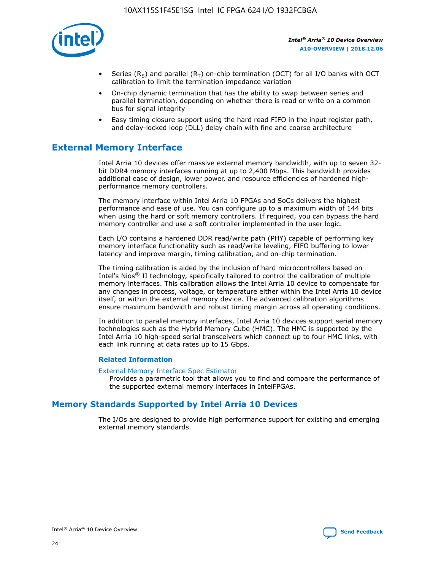

- Series (R<sub>S</sub>) and parallel (R<sub>T</sub>) on-chip termination (OCT) for all I/O banks with OCT calibration to limit the termination impedance variation
- On-chip dynamic termination that has the ability to swap between series and parallel termination, depending on whether there is read or write on a common bus for signal integrity
- Easy timing closure support using the hard read FIFO in the input register path, and delay-locked loop (DLL) delay chain with fine and coarse architecture

# **External Memory Interface**

Intel Arria 10 devices offer massive external memory bandwidth, with up to seven 32 bit DDR4 memory interfaces running at up to 2,400 Mbps. This bandwidth provides additional ease of design, lower power, and resource efficiencies of hardened highperformance memory controllers.

The memory interface within Intel Arria 10 FPGAs and SoCs delivers the highest performance and ease of use. You can configure up to a maximum width of 144 bits when using the hard or soft memory controllers. If required, you can bypass the hard memory controller and use a soft controller implemented in the user logic.

Each I/O contains a hardened DDR read/write path (PHY) capable of performing key memory interface functionality such as read/write leveling, FIFO buffering to lower latency and improve margin, timing calibration, and on-chip termination.

The timing calibration is aided by the inclusion of hard microcontrollers based on Intel's Nios® II technology, specifically tailored to control the calibration of multiple memory interfaces. This calibration allows the Intel Arria 10 device to compensate for any changes in process, voltage, or temperature either within the Intel Arria 10 device itself, or within the external memory device. The advanced calibration algorithms ensure maximum bandwidth and robust timing margin across all operating conditions.

In addition to parallel memory interfaces, Intel Arria 10 devices support serial memory technologies such as the Hybrid Memory Cube (HMC). The HMC is supported by the Intel Arria 10 high-speed serial transceivers which connect up to four HMC links, with each link running at data rates up to 15 Gbps.

### **Related Information**

#### [External Memory Interface Spec Estimator](http://www.altera.com/technology/memory/estimator/mem-emif-index.html)

Provides a parametric tool that allows you to find and compare the performance of the supported external memory interfaces in IntelFPGAs.

## **Memory Standards Supported by Intel Arria 10 Devices**

The I/Os are designed to provide high performance support for existing and emerging external memory standards.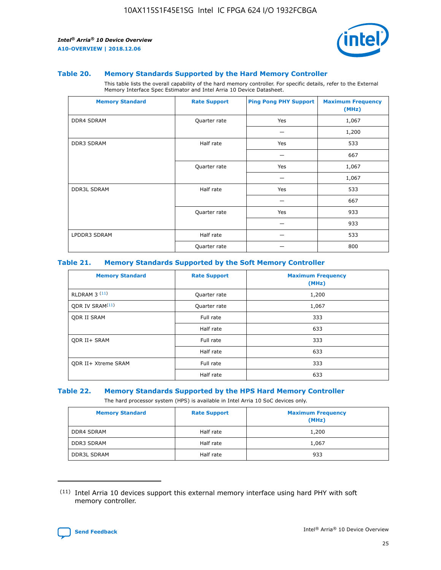

#### **Table 20. Memory Standards Supported by the Hard Memory Controller**

This table lists the overall capability of the hard memory controller. For specific details, refer to the External Memory Interface Spec Estimator and Intel Arria 10 Device Datasheet.

| <b>Memory Standard</b> | <b>Rate Support</b> | <b>Ping Pong PHY Support</b> | <b>Maximum Frequency</b><br>(MHz) |
|------------------------|---------------------|------------------------------|-----------------------------------|
| <b>DDR4 SDRAM</b>      | Quarter rate        | Yes                          | 1,067                             |
|                        |                     |                              | 1,200                             |
| DDR3 SDRAM             | Half rate           | Yes                          | 533                               |
|                        |                     |                              | 667                               |
|                        | Quarter rate        | Yes                          | 1,067                             |
|                        |                     |                              | 1,067                             |
| <b>DDR3L SDRAM</b>     | Half rate           | Yes                          | 533                               |
|                        |                     |                              | 667                               |
|                        | Quarter rate        | Yes                          | 933                               |
|                        |                     |                              | 933                               |
| LPDDR3 SDRAM           | Half rate           |                              | 533                               |
|                        | Quarter rate        |                              | 800                               |

#### **Table 21. Memory Standards Supported by the Soft Memory Controller**

| <b>Memory Standard</b>      | <b>Rate Support</b> | <b>Maximum Frequency</b><br>(MHz) |
|-----------------------------|---------------------|-----------------------------------|
| <b>RLDRAM 3 (11)</b>        | Quarter rate        | 1,200                             |
| ODR IV SRAM <sup>(11)</sup> | Quarter rate        | 1,067                             |
| <b>ODR II SRAM</b>          | Full rate           | 333                               |
|                             | Half rate           | 633                               |
| <b>ODR II+ SRAM</b>         | Full rate           | 333                               |
|                             | Half rate           | 633                               |
| <b>ODR II+ Xtreme SRAM</b>  | Full rate           | 333                               |
|                             | Half rate           | 633                               |

#### **Table 22. Memory Standards Supported by the HPS Hard Memory Controller**

The hard processor system (HPS) is available in Intel Arria 10 SoC devices only.

| <b>Memory Standard</b> | <b>Rate Support</b> | <b>Maximum Frequency</b><br>(MHz) |
|------------------------|---------------------|-----------------------------------|
| <b>DDR4 SDRAM</b>      | Half rate           | 1,200                             |
| <b>DDR3 SDRAM</b>      | Half rate           | 1,067                             |
| <b>DDR3L SDRAM</b>     | Half rate           | 933                               |

<sup>(11)</sup> Intel Arria 10 devices support this external memory interface using hard PHY with soft memory controller.

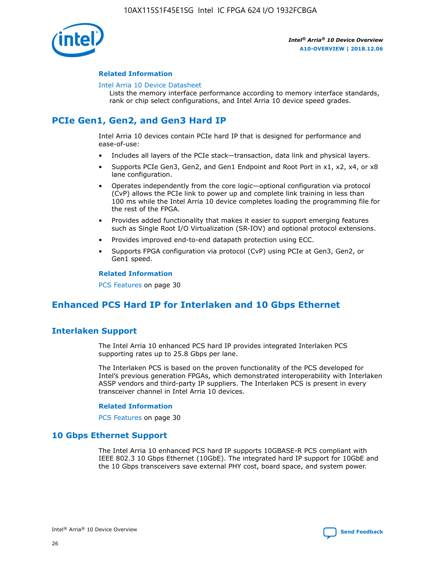

### **Related Information**

#### [Intel Arria 10 Device Datasheet](https://www.intel.com/content/www/us/en/programmable/documentation/mcn1413182292568.html#mcn1413182153340)

Lists the memory interface performance according to memory interface standards, rank or chip select configurations, and Intel Arria 10 device speed grades.

# **PCIe Gen1, Gen2, and Gen3 Hard IP**

Intel Arria 10 devices contain PCIe hard IP that is designed for performance and ease-of-use:

- Includes all layers of the PCIe stack—transaction, data link and physical layers.
- Supports PCIe Gen3, Gen2, and Gen1 Endpoint and Root Port in x1, x2, x4, or x8 lane configuration.
- Operates independently from the core logic—optional configuration via protocol (CvP) allows the PCIe link to power up and complete link training in less than 100 ms while the Intel Arria 10 device completes loading the programming file for the rest of the FPGA.
- Provides added functionality that makes it easier to support emerging features such as Single Root I/O Virtualization (SR-IOV) and optional protocol extensions.
- Provides improved end-to-end datapath protection using ECC.
- Supports FPGA configuration via protocol (CvP) using PCIe at Gen3, Gen2, or Gen1 speed.

#### **Related Information**

PCS Features on page 30

# **Enhanced PCS Hard IP for Interlaken and 10 Gbps Ethernet**

## **Interlaken Support**

The Intel Arria 10 enhanced PCS hard IP provides integrated Interlaken PCS supporting rates up to 25.8 Gbps per lane.

The Interlaken PCS is based on the proven functionality of the PCS developed for Intel's previous generation FPGAs, which demonstrated interoperability with Interlaken ASSP vendors and third-party IP suppliers. The Interlaken PCS is present in every transceiver channel in Intel Arria 10 devices.

### **Related Information**

PCS Features on page 30

## **10 Gbps Ethernet Support**

The Intel Arria 10 enhanced PCS hard IP supports 10GBASE-R PCS compliant with IEEE 802.3 10 Gbps Ethernet (10GbE). The integrated hard IP support for 10GbE and the 10 Gbps transceivers save external PHY cost, board space, and system power.

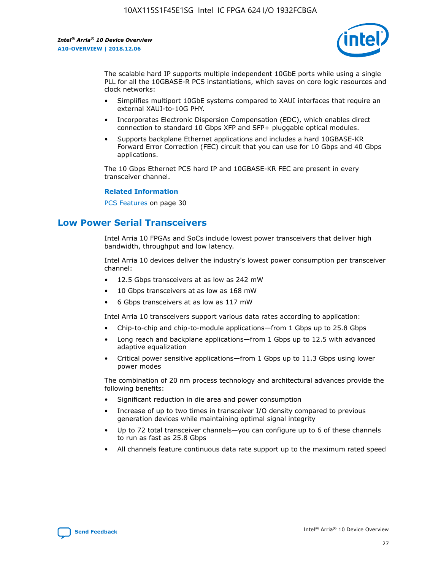

The scalable hard IP supports multiple independent 10GbE ports while using a single PLL for all the 10GBASE-R PCS instantiations, which saves on core logic resources and clock networks:

- Simplifies multiport 10GbE systems compared to XAUI interfaces that require an external XAUI-to-10G PHY.
- Incorporates Electronic Dispersion Compensation (EDC), which enables direct connection to standard 10 Gbps XFP and SFP+ pluggable optical modules.
- Supports backplane Ethernet applications and includes a hard 10GBASE-KR Forward Error Correction (FEC) circuit that you can use for 10 Gbps and 40 Gbps applications.

The 10 Gbps Ethernet PCS hard IP and 10GBASE-KR FEC are present in every transceiver channel.

#### **Related Information**

PCS Features on page 30

# **Low Power Serial Transceivers**

Intel Arria 10 FPGAs and SoCs include lowest power transceivers that deliver high bandwidth, throughput and low latency.

Intel Arria 10 devices deliver the industry's lowest power consumption per transceiver channel:

- 12.5 Gbps transceivers at as low as 242 mW
- 10 Gbps transceivers at as low as 168 mW
- 6 Gbps transceivers at as low as 117 mW

Intel Arria 10 transceivers support various data rates according to application:

- Chip-to-chip and chip-to-module applications—from 1 Gbps up to 25.8 Gbps
- Long reach and backplane applications—from 1 Gbps up to 12.5 with advanced adaptive equalization
- Critical power sensitive applications—from 1 Gbps up to 11.3 Gbps using lower power modes

The combination of 20 nm process technology and architectural advances provide the following benefits:

- Significant reduction in die area and power consumption
- Increase of up to two times in transceiver I/O density compared to previous generation devices while maintaining optimal signal integrity
- Up to 72 total transceiver channels—you can configure up to 6 of these channels to run as fast as 25.8 Gbps
- All channels feature continuous data rate support up to the maximum rated speed

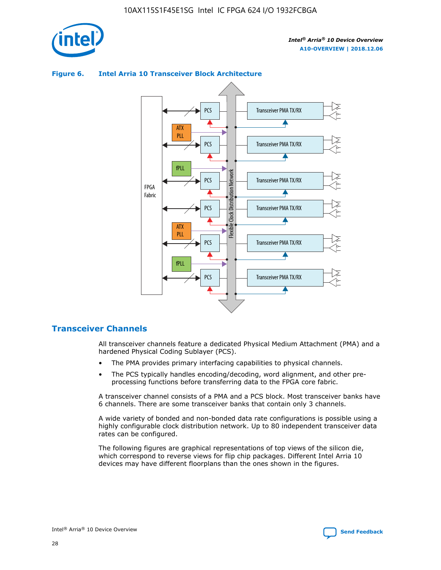

## Transceiver PMA TX/RX PCS ATX PLL Transceiver PMA TX/RX PCS fPLL Network Flexible Clock Distribution Network PCS Transceiver PMA TX/RX FPGA **Clock Distribution** Fabric PCS Transceiver PMA TX/RX ATX Flexible PLL PCS Transceiver PMA TX/RX ▲ fPLL Transceiver PMA TX/RX PCS 4

## **Figure 6. Intel Arria 10 Transceiver Block Architecture**

## **Transceiver Channels**

All transceiver channels feature a dedicated Physical Medium Attachment (PMA) and a hardened Physical Coding Sublayer (PCS).

- The PMA provides primary interfacing capabilities to physical channels.
- The PCS typically handles encoding/decoding, word alignment, and other preprocessing functions before transferring data to the FPGA core fabric.

A transceiver channel consists of a PMA and a PCS block. Most transceiver banks have 6 channels. There are some transceiver banks that contain only 3 channels.

A wide variety of bonded and non-bonded data rate configurations is possible using a highly configurable clock distribution network. Up to 80 independent transceiver data rates can be configured.

The following figures are graphical representations of top views of the silicon die, which correspond to reverse views for flip chip packages. Different Intel Arria 10 devices may have different floorplans than the ones shown in the figures.

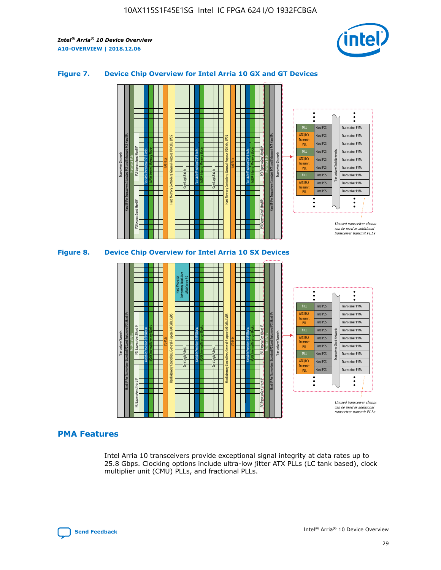

## **Figure 7. Device Chip Overview for Intel Arria 10 GX and GT Devices**



M20K Internal Memory Blocks Core Logic Fabric Transceiver Channels Hard IP Per Transceiver: Standard PCS and Enhanced PCS Hard IPs PCI Express Gen3 Hard IP Fractional PLLs M20K Internal Memory Blocks PCI Express Gen3 Hard IP Variable Precision DSP Blocks I/O PLLs Hard Memory Controllers, General-Purpose I/O Cells, LVDS Hard Processor Subsystem, Dual-Core ARM Cortex A9 M20K Internal Memory Blocks Variable Precision DSP Blocks M20K Internal Memory Blocks Core Logic Fabric I/O PLLs Hard Memory Controllers, General-Purpose I/O Cells, LVDS M20K Internal Memory Blocks Variable Precision DSP Blocks M20K Internal Memory Blocks Transceiver Channels Hard IP Per Transceiver: Standard PCS and Enhanced PCS Hard IPs PCI Express Gen3 Hard IP Fractional PLLs PCI Express Gen3 Hard IP Hard PCS Hard PCS Hard PCS Hard PCS Hard PCS Hard PCS Hard PCS Hard PCS Hard PCS Transceiver PMA Transceiver PMA Transceiver PMA Transceiver PMA Transceiver PMA Transceiver PMA Transceiver PMA Unused transceiver chann can be used as additional transceiver transmit PLLs Transceiver PMA Transceiver PMA Transceiver Clock Networks fPLL ATX (LC) **Transmit** PLL fPLL ATX (LC) Transmi PLL fPLL ATX (LC) **Transmit** PLL

## **PMA Features**

Intel Arria 10 transceivers provide exceptional signal integrity at data rates up to 25.8 Gbps. Clocking options include ultra-low jitter ATX PLLs (LC tank based), clock multiplier unit (CMU) PLLs, and fractional PLLs.

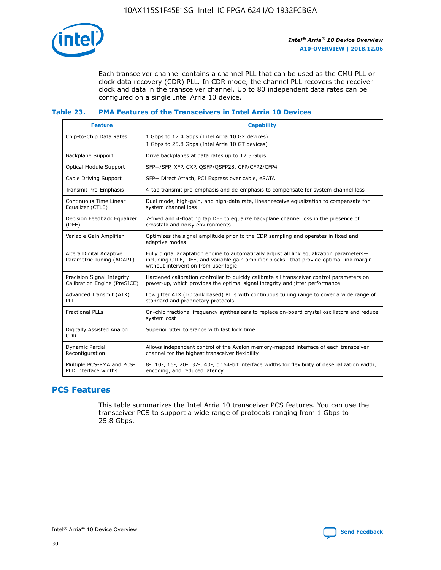

Each transceiver channel contains a channel PLL that can be used as the CMU PLL or clock data recovery (CDR) PLL. In CDR mode, the channel PLL recovers the receiver clock and data in the transceiver channel. Up to 80 independent data rates can be configured on a single Intel Arria 10 device.

## **Table 23. PMA Features of the Transceivers in Intel Arria 10 Devices**

| <b>Feature</b>                                             | <b>Capability</b>                                                                                                                                                                                                             |
|------------------------------------------------------------|-------------------------------------------------------------------------------------------------------------------------------------------------------------------------------------------------------------------------------|
| Chip-to-Chip Data Rates                                    | 1 Gbps to 17.4 Gbps (Intel Arria 10 GX devices)<br>1 Gbps to 25.8 Gbps (Intel Arria 10 GT devices)                                                                                                                            |
| Backplane Support                                          | Drive backplanes at data rates up to 12.5 Gbps                                                                                                                                                                                |
| Optical Module Support                                     | SFP+/SFP, XFP, CXP, QSFP/QSFP28, CFP/CFP2/CFP4                                                                                                                                                                                |
| Cable Driving Support                                      | SFP+ Direct Attach, PCI Express over cable, eSATA                                                                                                                                                                             |
| Transmit Pre-Emphasis                                      | 4-tap transmit pre-emphasis and de-emphasis to compensate for system channel loss                                                                                                                                             |
| Continuous Time Linear<br>Equalizer (CTLE)                 | Dual mode, high-gain, and high-data rate, linear receive equalization to compensate for<br>system channel loss                                                                                                                |
| Decision Feedback Equalizer<br>(DFE)                       | 7-fixed and 4-floating tap DFE to equalize backplane channel loss in the presence of<br>crosstalk and noisy environments                                                                                                      |
| Variable Gain Amplifier                                    | Optimizes the signal amplitude prior to the CDR sampling and operates in fixed and<br>adaptive modes                                                                                                                          |
| Altera Digital Adaptive<br>Parametric Tuning (ADAPT)       | Fully digital adaptation engine to automatically adjust all link equalization parameters-<br>including CTLE, DFE, and variable gain amplifier blocks—that provide optimal link margin<br>without intervention from user logic |
| Precision Signal Integrity<br>Calibration Engine (PreSICE) | Hardened calibration controller to quickly calibrate all transceiver control parameters on<br>power-up, which provides the optimal signal integrity and jitter performance                                                    |
| Advanced Transmit (ATX)<br>PLL                             | Low jitter ATX (LC tank based) PLLs with continuous tuning range to cover a wide range of<br>standard and proprietary protocols                                                                                               |
| <b>Fractional PLLs</b>                                     | On-chip fractional frequency synthesizers to replace on-board crystal oscillators and reduce<br>system cost                                                                                                                   |
| Digitally Assisted Analog<br><b>CDR</b>                    | Superior jitter tolerance with fast lock time                                                                                                                                                                                 |
| Dynamic Partial<br>Reconfiguration                         | Allows independent control of the Avalon memory-mapped interface of each transceiver<br>channel for the highest transceiver flexibility                                                                                       |
| Multiple PCS-PMA and PCS-<br>PLD interface widths          | 8-, 10-, 16-, 20-, 32-, 40-, or 64-bit interface widths for flexibility of deserialization width,<br>encoding, and reduced latency                                                                                            |

## **PCS Features**

This table summarizes the Intel Arria 10 transceiver PCS features. You can use the transceiver PCS to support a wide range of protocols ranging from 1 Gbps to 25.8 Gbps.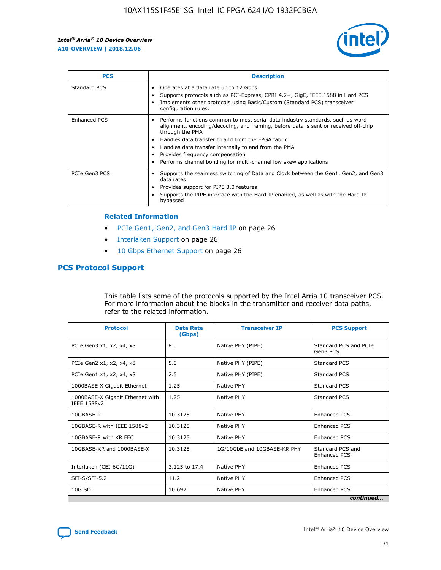

| <b>PCS</b>    | <b>Description</b>                                                                                                                                                                                                                                                                                                                                                                                             |
|---------------|----------------------------------------------------------------------------------------------------------------------------------------------------------------------------------------------------------------------------------------------------------------------------------------------------------------------------------------------------------------------------------------------------------------|
| Standard PCS  | Operates at a data rate up to 12 Gbps<br>Supports protocols such as PCI-Express, CPRI 4.2+, GigE, IEEE 1588 in Hard PCS<br>Implements other protocols using Basic/Custom (Standard PCS) transceiver<br>configuration rules.                                                                                                                                                                                    |
| Enhanced PCS  | Performs functions common to most serial data industry standards, such as word<br>alignment, encoding/decoding, and framing, before data is sent or received off-chip<br>through the PMA<br>• Handles data transfer to and from the FPGA fabric<br>Handles data transfer internally to and from the PMA<br>Provides frequency compensation<br>Performs channel bonding for multi-channel low skew applications |
| PCIe Gen3 PCS | Supports the seamless switching of Data and Clock between the Gen1, Gen2, and Gen3<br>data rates<br>Provides support for PIPE 3.0 features<br>Supports the PIPE interface with the Hard IP enabled, as well as with the Hard IP<br>bypassed                                                                                                                                                                    |

#### **Related Information**

- PCIe Gen1, Gen2, and Gen3 Hard IP on page 26
- Interlaken Support on page 26
- 10 Gbps Ethernet Support on page 26

## **PCS Protocol Support**

This table lists some of the protocols supported by the Intel Arria 10 transceiver PCS. For more information about the blocks in the transmitter and receiver data paths, refer to the related information.

| <b>Protocol</b>                                 | <b>Data Rate</b><br>(Gbps) | <b>Transceiver IP</b>       | <b>PCS Support</b>                      |
|-------------------------------------------------|----------------------------|-----------------------------|-----------------------------------------|
| PCIe Gen3 x1, x2, x4, x8                        | 8.0                        | Native PHY (PIPE)           | Standard PCS and PCIe<br>Gen3 PCS       |
| PCIe Gen2 x1, x2, x4, x8                        | 5.0                        | Native PHY (PIPE)           | <b>Standard PCS</b>                     |
| PCIe Gen1 x1, x2, x4, x8                        | 2.5                        | Native PHY (PIPE)           | Standard PCS                            |
| 1000BASE-X Gigabit Ethernet                     | 1.25                       | Native PHY                  | <b>Standard PCS</b>                     |
| 1000BASE-X Gigabit Ethernet with<br>IEEE 1588v2 | 1.25                       | Native PHY                  | Standard PCS                            |
| 10GBASE-R                                       | 10.3125                    | Native PHY                  | Enhanced PCS                            |
| 10GBASE-R with IEEE 1588v2                      | 10.3125                    | Native PHY                  | <b>Enhanced PCS</b>                     |
| 10GBASE-R with KR FEC                           | 10.3125                    | Native PHY                  | Enhanced PCS                            |
| 10GBASE-KR and 1000BASE-X                       | 10.3125                    | 1G/10GbE and 10GBASE-KR PHY | Standard PCS and<br><b>Enhanced PCS</b> |
| Interlaken (CEI-6G/11G)                         | 3.125 to 17.4              | Native PHY                  | <b>Enhanced PCS</b>                     |
| SFI-S/SFI-5.2                                   | 11.2                       | Native PHY                  | <b>Enhanced PCS</b>                     |
| 10G SDI                                         | 10.692                     | Native PHY                  | Enhanced PCS                            |
|                                                 |                            |                             | continued                               |

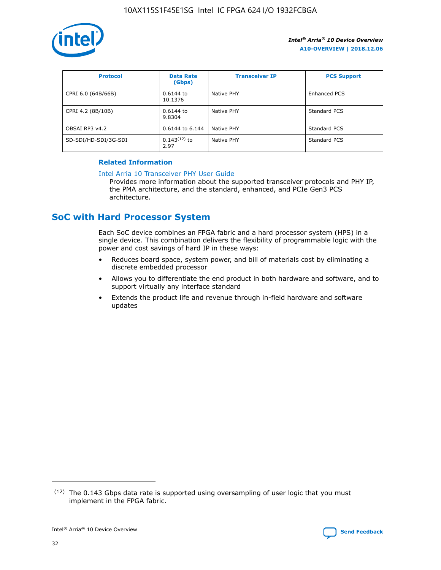

| <b>Protocol</b>      | <b>Data Rate</b><br>(Gbps) | <b>Transceiver IP</b> | <b>PCS Support</b> |
|----------------------|----------------------------|-----------------------|--------------------|
| CPRI 6.0 (64B/66B)   | 0.6144 to<br>10.1376       | Native PHY            | Enhanced PCS       |
| CPRI 4.2 (8B/10B)    | $0.6144$ to<br>9.8304      | Native PHY            | Standard PCS       |
| OBSAI RP3 v4.2       | 0.6144 to 6.144            | Native PHY            | Standard PCS       |
| SD-SDI/HD-SDI/3G-SDI | $0.143(12)$ to<br>2.97     | Native PHY            | Standard PCS       |

## **Related Information**

#### [Intel Arria 10 Transceiver PHY User Guide](https://www.intel.com/content/www/us/en/programmable/documentation/nik1398707230472.html#nik1398707091164)

Provides more information about the supported transceiver protocols and PHY IP, the PMA architecture, and the standard, enhanced, and PCIe Gen3 PCS architecture.

# **SoC with Hard Processor System**

Each SoC device combines an FPGA fabric and a hard processor system (HPS) in a single device. This combination delivers the flexibility of programmable logic with the power and cost savings of hard IP in these ways:

- Reduces board space, system power, and bill of materials cost by eliminating a discrete embedded processor
- Allows you to differentiate the end product in both hardware and software, and to support virtually any interface standard
- Extends the product life and revenue through in-field hardware and software updates

 $(12)$  The 0.143 Gbps data rate is supported using oversampling of user logic that you must implement in the FPGA fabric.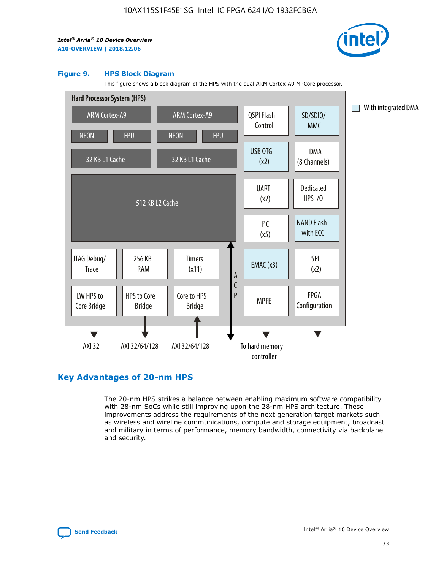

#### **Figure 9. HPS Block Diagram**

This figure shows a block diagram of the HPS with the dual ARM Cortex-A9 MPCore processor.



## **Key Advantages of 20-nm HPS**

The 20-nm HPS strikes a balance between enabling maximum software compatibility with 28-nm SoCs while still improving upon the 28-nm HPS architecture. These improvements address the requirements of the next generation target markets such as wireless and wireline communications, compute and storage equipment, broadcast and military in terms of performance, memory bandwidth, connectivity via backplane and security.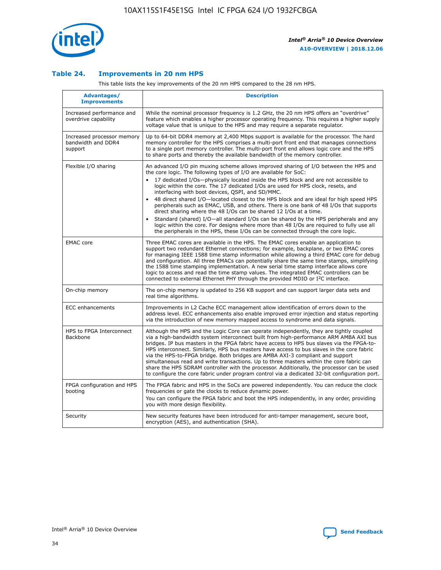

## **Table 24. Improvements in 20 nm HPS**

This table lists the key improvements of the 20 nm HPS compared to the 28 nm HPS.

| Advantages/<br><b>Improvements</b>                          | <b>Description</b>                                                                                                                                                                                                                                                                                                                                                                                                                                                                                                                                                                                                                                                                                                                                                                                                                                                                                                                                |
|-------------------------------------------------------------|---------------------------------------------------------------------------------------------------------------------------------------------------------------------------------------------------------------------------------------------------------------------------------------------------------------------------------------------------------------------------------------------------------------------------------------------------------------------------------------------------------------------------------------------------------------------------------------------------------------------------------------------------------------------------------------------------------------------------------------------------------------------------------------------------------------------------------------------------------------------------------------------------------------------------------------------------|
| Increased performance and<br>overdrive capability           | While the nominal processor frequency is 1.2 GHz, the 20 nm HPS offers an "overdrive"<br>feature which enables a higher processor operating frequency. This requires a higher supply<br>voltage value that is unique to the HPS and may require a separate regulator.                                                                                                                                                                                                                                                                                                                                                                                                                                                                                                                                                                                                                                                                             |
| Increased processor memory<br>bandwidth and DDR4<br>support | Up to 64-bit DDR4 memory at 2,400 Mbps support is available for the processor. The hard<br>memory controller for the HPS comprises a multi-port front end that manages connections<br>to a single port memory controller. The multi-port front end allows logic core and the HPS<br>to share ports and thereby the available bandwidth of the memory controller.                                                                                                                                                                                                                                                                                                                                                                                                                                                                                                                                                                                  |
| Flexible I/O sharing                                        | An advanced I/O pin muxing scheme allows improved sharing of I/O between the HPS and<br>the core logic. The following types of I/O are available for SoC:<br>$\bullet$<br>17 dedicated I/Os-physically located inside the HPS block and are not accessible to<br>logic within the core. The 17 dedicated I/Os are used for HPS clock, resets, and<br>interfacing with boot devices, QSPI, and SD/MMC.<br>48 direct shared I/O-located closest to the HPS block and are ideal for high speed HPS<br>$\bullet$<br>peripherals such as EMAC, USB, and others. There is one bank of 48 I/Os that supports<br>direct sharing where the 48 I/Os can be shared 12 I/Os at a time.<br>Standard (shared) I/O-all standard I/Os can be shared by the HPS peripherals and any<br>logic within the core. For designs where more than 48 I/Os are required to fully use all<br>the peripherals in the HPS, these I/Os can be connected through the core logic. |
| <b>EMAC</b> core                                            | Three EMAC cores are available in the HPS. The EMAC cores enable an application to<br>support two redundant Ethernet connections; for example, backplane, or two EMAC cores<br>for managing IEEE 1588 time stamp information while allowing a third EMAC core for debug<br>and configuration. All three EMACs can potentially share the same time stamps, simplifying<br>the 1588 time stamping implementation. A new serial time stamp interface allows core<br>logic to access and read the time stamp values. The integrated EMAC controllers can be<br>connected to external Ethernet PHY through the provided MDIO or I <sup>2</sup> C interface.                                                                                                                                                                                                                                                                                            |
| On-chip memory                                              | The on-chip memory is updated to 256 KB support and can support larger data sets and<br>real time algorithms.                                                                                                                                                                                                                                                                                                                                                                                                                                                                                                                                                                                                                                                                                                                                                                                                                                     |
| <b>ECC</b> enhancements                                     | Improvements in L2 Cache ECC management allow identification of errors down to the<br>address level. ECC enhancements also enable improved error injection and status reporting<br>via the introduction of new memory mapped access to syndrome and data signals.                                                                                                                                                                                                                                                                                                                                                                                                                                                                                                                                                                                                                                                                                 |
| HPS to FPGA Interconnect<br>Backbone                        | Although the HPS and the Logic Core can operate independently, they are tightly coupled<br>via a high-bandwidth system interconnect built from high-performance ARM AMBA AXI bus<br>bridges. IP bus masters in the FPGA fabric have access to HPS bus slaves via the FPGA-to-<br>HPS interconnect. Similarly, HPS bus masters have access to bus slaves in the core fabric<br>via the HPS-to-FPGA bridge. Both bridges are AMBA AXI-3 compliant and support<br>simultaneous read and write transactions. Up to three masters within the core fabric can<br>share the HPS SDRAM controller with the processor. Additionally, the processor can be used<br>to configure the core fabric under program control via a dedicated 32-bit configuration port.                                                                                                                                                                                            |
| FPGA configuration and HPS<br>booting                       | The FPGA fabric and HPS in the SoCs are powered independently. You can reduce the clock<br>frequencies or gate the clocks to reduce dynamic power.<br>You can configure the FPGA fabric and boot the HPS independently, in any order, providing<br>you with more design flexibility.                                                                                                                                                                                                                                                                                                                                                                                                                                                                                                                                                                                                                                                              |
| Security                                                    | New security features have been introduced for anti-tamper management, secure boot,<br>encryption (AES), and authentication (SHA).                                                                                                                                                                                                                                                                                                                                                                                                                                                                                                                                                                                                                                                                                                                                                                                                                |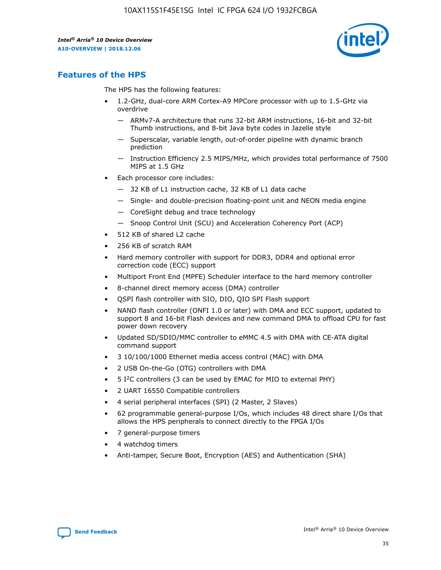

## **Features of the HPS**

The HPS has the following features:

- 1.2-GHz, dual-core ARM Cortex-A9 MPCore processor with up to 1.5-GHz via overdrive
	- ARMv7-A architecture that runs 32-bit ARM instructions, 16-bit and 32-bit Thumb instructions, and 8-bit Java byte codes in Jazelle style
	- Superscalar, variable length, out-of-order pipeline with dynamic branch prediction
	- Instruction Efficiency 2.5 MIPS/MHz, which provides total performance of 7500 MIPS at 1.5 GHz
- Each processor core includes:
	- 32 KB of L1 instruction cache, 32 KB of L1 data cache
	- Single- and double-precision floating-point unit and NEON media engine
	- CoreSight debug and trace technology
	- Snoop Control Unit (SCU) and Acceleration Coherency Port (ACP)
- 512 KB of shared L2 cache
- 256 KB of scratch RAM
- Hard memory controller with support for DDR3, DDR4 and optional error correction code (ECC) support
- Multiport Front End (MPFE) Scheduler interface to the hard memory controller
- 8-channel direct memory access (DMA) controller
- QSPI flash controller with SIO, DIO, QIO SPI Flash support
- NAND flash controller (ONFI 1.0 or later) with DMA and ECC support, updated to support 8 and 16-bit Flash devices and new command DMA to offload CPU for fast power down recovery
- Updated SD/SDIO/MMC controller to eMMC 4.5 with DMA with CE-ATA digital command support
- 3 10/100/1000 Ethernet media access control (MAC) with DMA
- 2 USB On-the-Go (OTG) controllers with DMA
- $\bullet$  5 I<sup>2</sup>C controllers (3 can be used by EMAC for MIO to external PHY)
- 2 UART 16550 Compatible controllers
- 4 serial peripheral interfaces (SPI) (2 Master, 2 Slaves)
- 62 programmable general-purpose I/Os, which includes 48 direct share I/Os that allows the HPS peripherals to connect directly to the FPGA I/Os
- 7 general-purpose timers
- 4 watchdog timers
- Anti-tamper, Secure Boot, Encryption (AES) and Authentication (SHA)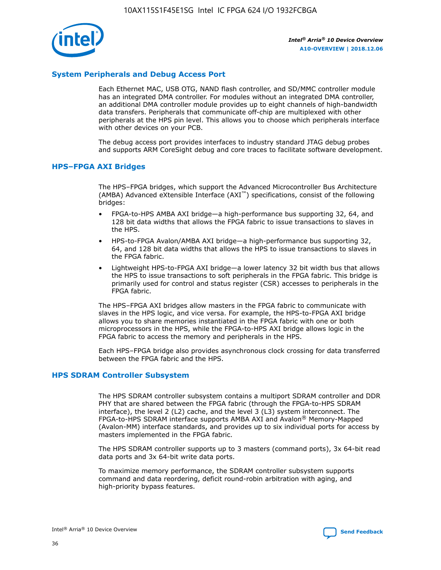

## **System Peripherals and Debug Access Port**

Each Ethernet MAC, USB OTG, NAND flash controller, and SD/MMC controller module has an integrated DMA controller. For modules without an integrated DMA controller, an additional DMA controller module provides up to eight channels of high-bandwidth data transfers. Peripherals that communicate off-chip are multiplexed with other peripherals at the HPS pin level. This allows you to choose which peripherals interface with other devices on your PCB.

The debug access port provides interfaces to industry standard JTAG debug probes and supports ARM CoreSight debug and core traces to facilitate software development.

## **HPS–FPGA AXI Bridges**

The HPS–FPGA bridges, which support the Advanced Microcontroller Bus Architecture (AMBA) Advanced eXtensible Interface (AXI™) specifications, consist of the following bridges:

- FPGA-to-HPS AMBA AXI bridge—a high-performance bus supporting 32, 64, and 128 bit data widths that allows the FPGA fabric to issue transactions to slaves in the HPS.
- HPS-to-FPGA Avalon/AMBA AXI bridge—a high-performance bus supporting 32, 64, and 128 bit data widths that allows the HPS to issue transactions to slaves in the FPGA fabric.
- Lightweight HPS-to-FPGA AXI bridge—a lower latency 32 bit width bus that allows the HPS to issue transactions to soft peripherals in the FPGA fabric. This bridge is primarily used for control and status register (CSR) accesses to peripherals in the FPGA fabric.

The HPS–FPGA AXI bridges allow masters in the FPGA fabric to communicate with slaves in the HPS logic, and vice versa. For example, the HPS-to-FPGA AXI bridge allows you to share memories instantiated in the FPGA fabric with one or both microprocessors in the HPS, while the FPGA-to-HPS AXI bridge allows logic in the FPGA fabric to access the memory and peripherals in the HPS.

Each HPS–FPGA bridge also provides asynchronous clock crossing for data transferred between the FPGA fabric and the HPS.

### **HPS SDRAM Controller Subsystem**

The HPS SDRAM controller subsystem contains a multiport SDRAM controller and DDR PHY that are shared between the FPGA fabric (through the FPGA-to-HPS SDRAM interface), the level 2 (L2) cache, and the level 3 (L3) system interconnect. The FPGA-to-HPS SDRAM interface supports AMBA AXI and Avalon® Memory-Mapped (Avalon-MM) interface standards, and provides up to six individual ports for access by masters implemented in the FPGA fabric.

The HPS SDRAM controller supports up to 3 masters (command ports), 3x 64-bit read data ports and 3x 64-bit write data ports.

To maximize memory performance, the SDRAM controller subsystem supports command and data reordering, deficit round-robin arbitration with aging, and high-priority bypass features.

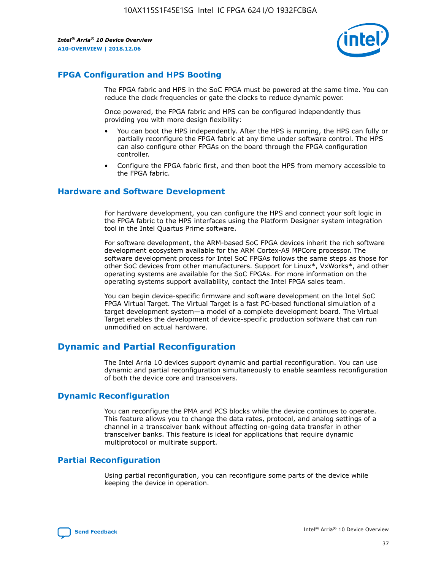

## **FPGA Configuration and HPS Booting**

The FPGA fabric and HPS in the SoC FPGA must be powered at the same time. You can reduce the clock frequencies or gate the clocks to reduce dynamic power.

Once powered, the FPGA fabric and HPS can be configured independently thus providing you with more design flexibility:

- You can boot the HPS independently. After the HPS is running, the HPS can fully or partially reconfigure the FPGA fabric at any time under software control. The HPS can also configure other FPGAs on the board through the FPGA configuration controller.
- Configure the FPGA fabric first, and then boot the HPS from memory accessible to the FPGA fabric.

## **Hardware and Software Development**

For hardware development, you can configure the HPS and connect your soft logic in the FPGA fabric to the HPS interfaces using the Platform Designer system integration tool in the Intel Quartus Prime software.

For software development, the ARM-based SoC FPGA devices inherit the rich software development ecosystem available for the ARM Cortex-A9 MPCore processor. The software development process for Intel SoC FPGAs follows the same steps as those for other SoC devices from other manufacturers. Support for Linux\*, VxWorks\*, and other operating systems are available for the SoC FPGAs. For more information on the operating systems support availability, contact the Intel FPGA sales team.

You can begin device-specific firmware and software development on the Intel SoC FPGA Virtual Target. The Virtual Target is a fast PC-based functional simulation of a target development system—a model of a complete development board. The Virtual Target enables the development of device-specific production software that can run unmodified on actual hardware.

## **Dynamic and Partial Reconfiguration**

The Intel Arria 10 devices support dynamic and partial reconfiguration. You can use dynamic and partial reconfiguration simultaneously to enable seamless reconfiguration of both the device core and transceivers.

## **Dynamic Reconfiguration**

You can reconfigure the PMA and PCS blocks while the device continues to operate. This feature allows you to change the data rates, protocol, and analog settings of a channel in a transceiver bank without affecting on-going data transfer in other transceiver banks. This feature is ideal for applications that require dynamic multiprotocol or multirate support.

## **Partial Reconfiguration**

Using partial reconfiguration, you can reconfigure some parts of the device while keeping the device in operation.

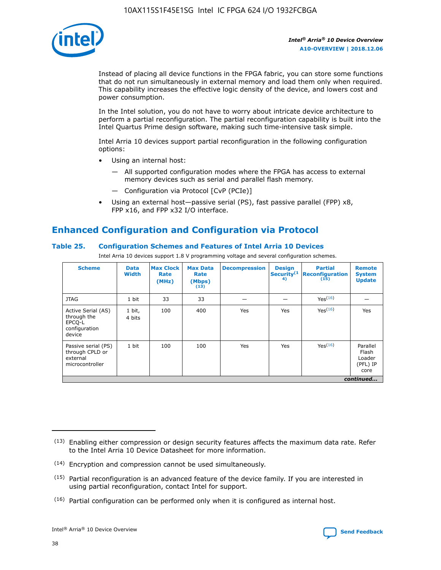

Instead of placing all device functions in the FPGA fabric, you can store some functions that do not run simultaneously in external memory and load them only when required. This capability increases the effective logic density of the device, and lowers cost and power consumption.

In the Intel solution, you do not have to worry about intricate device architecture to perform a partial reconfiguration. The partial reconfiguration capability is built into the Intel Quartus Prime design software, making such time-intensive task simple.

Intel Arria 10 devices support partial reconfiguration in the following configuration options:

- Using an internal host:
	- All supported configuration modes where the FPGA has access to external memory devices such as serial and parallel flash memory.
	- Configuration via Protocol [CvP (PCIe)]
- Using an external host—passive serial (PS), fast passive parallel (FPP) x8, FPP x16, and FPP x32 I/O interface.

# **Enhanced Configuration and Configuration via Protocol**

## **Table 25. Configuration Schemes and Features of Intel Arria 10 Devices**

Intel Arria 10 devices support 1.8 V programming voltage and several configuration schemes.

| <b>Scheme</b>                                                          | <b>Data</b><br><b>Width</b> | <b>Max Clock</b><br>Rate<br>(MHz) | <b>Max Data</b><br>Rate<br>(Mbps)<br>(13) | <b>Decompression</b> | <b>Design</b><br>Security <sup>(1</sup><br>4) | <b>Partial</b><br><b>Reconfiguration</b><br>(15) | <b>Remote</b><br><b>System</b><br><b>Update</b> |
|------------------------------------------------------------------------|-----------------------------|-----------------------------------|-------------------------------------------|----------------------|-----------------------------------------------|--------------------------------------------------|-------------------------------------------------|
| <b>JTAG</b>                                                            | 1 bit                       | 33                                | 33                                        |                      |                                               | Yes(16)                                          |                                                 |
| Active Serial (AS)<br>through the<br>EPCO-L<br>configuration<br>device | 1 bit,<br>4 bits            | 100                               | 400                                       | Yes                  | Yes                                           | $Y_{PS}(16)$                                     | Yes                                             |
| Passive serial (PS)<br>through CPLD or<br>external<br>microcontroller  | 1 bit                       | 100                               | 100                                       | Yes                  | Yes                                           | Yes(16)                                          | Parallel<br>Flash<br>Loader<br>(PFL) IP<br>core |
|                                                                        |                             |                                   |                                           |                      |                                               |                                                  | continued                                       |

<sup>(13)</sup> Enabling either compression or design security features affects the maximum data rate. Refer to the Intel Arria 10 Device Datasheet for more information.

<sup>(14)</sup> Encryption and compression cannot be used simultaneously.

 $<sup>(15)</sup>$  Partial reconfiguration is an advanced feature of the device family. If you are interested in</sup> using partial reconfiguration, contact Intel for support.

 $(16)$  Partial configuration can be performed only when it is configured as internal host.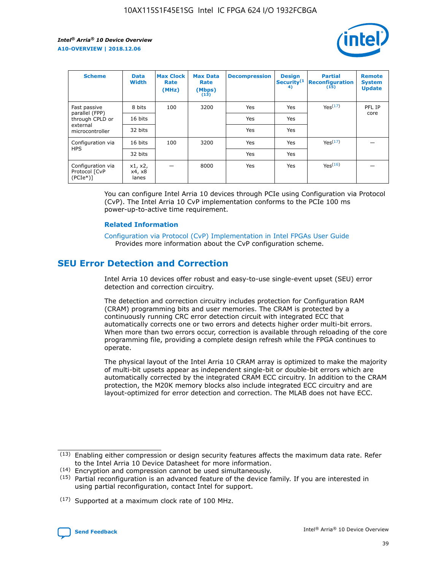

| <b>Scheme</b>                                   | <b>Data</b><br><b>Width</b> | <b>Max Clock</b><br>Rate<br>(MHz) | <b>Max Data</b><br>Rate<br>(Mbps)<br>(13) | <b>Decompression</b> | <b>Design</b><br>Security <sup>(1</sup><br>4) | <b>Partial</b><br><b>Reconfiguration</b><br>(15) | <b>Remote</b><br><b>System</b><br><b>Update</b> |
|-------------------------------------------------|-----------------------------|-----------------------------------|-------------------------------------------|----------------------|-----------------------------------------------|--------------------------------------------------|-------------------------------------------------|
| Fast passive                                    | 8 bits                      | 100                               | 3200                                      | Yes                  | Yes                                           | Yes <sup>(17)</sup>                              | PFL IP                                          |
| parallel (FPP)<br>through CPLD or               | 16 bits                     |                                   |                                           | Yes                  | Yes                                           |                                                  | core                                            |
| external<br>microcontroller                     | 32 bits                     |                                   |                                           | Yes                  | Yes                                           |                                                  |                                                 |
| Configuration via                               | 16 bits                     | 100                               | 3200                                      | Yes                  | Yes                                           | Yes <sup>(17)</sup>                              |                                                 |
| <b>HPS</b>                                      | 32 bits                     |                                   |                                           | Yes                  | Yes                                           |                                                  |                                                 |
| Configuration via<br>Protocol [CvP<br>$(PCIe*)$ | x1, x2,<br>x4, x8<br>lanes  |                                   | 8000                                      | Yes                  | Yes                                           | Yes(16)                                          |                                                 |

You can configure Intel Arria 10 devices through PCIe using Configuration via Protocol (CvP). The Intel Arria 10 CvP implementation conforms to the PCIe 100 ms power-up-to-active time requirement.

### **Related Information**

[Configuration via Protocol \(CvP\) Implementation in Intel FPGAs User Guide](https://www.intel.com/content/www/us/en/programmable/documentation/dsu1441819344145.html#dsu1442269728522) Provides more information about the CvP configuration scheme.

# **SEU Error Detection and Correction**

Intel Arria 10 devices offer robust and easy-to-use single-event upset (SEU) error detection and correction circuitry.

The detection and correction circuitry includes protection for Configuration RAM (CRAM) programming bits and user memories. The CRAM is protected by a continuously running CRC error detection circuit with integrated ECC that automatically corrects one or two errors and detects higher order multi-bit errors. When more than two errors occur, correction is available through reloading of the core programming file, providing a complete design refresh while the FPGA continues to operate.

The physical layout of the Intel Arria 10 CRAM array is optimized to make the majority of multi-bit upsets appear as independent single-bit or double-bit errors which are automatically corrected by the integrated CRAM ECC circuitry. In addition to the CRAM protection, the M20K memory blocks also include integrated ECC circuitry and are layout-optimized for error detection and correction. The MLAB does not have ECC.

(14) Encryption and compression cannot be used simultaneously.

<sup>(17)</sup> Supported at a maximum clock rate of 100 MHz.



 $(13)$  Enabling either compression or design security features affects the maximum data rate. Refer to the Intel Arria 10 Device Datasheet for more information.

 $(15)$  Partial reconfiguration is an advanced feature of the device family. If you are interested in using partial reconfiguration, contact Intel for support.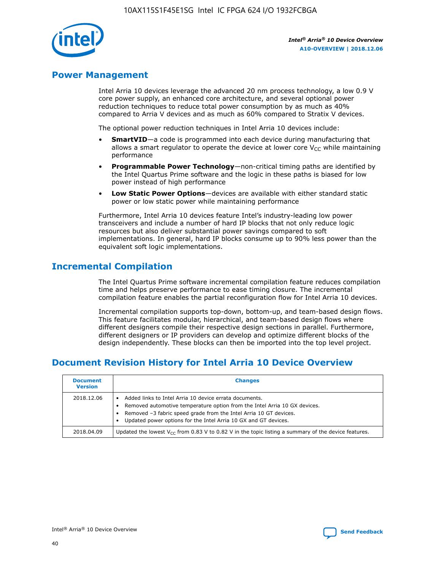

## **Power Management**

Intel Arria 10 devices leverage the advanced 20 nm process technology, a low 0.9 V core power supply, an enhanced core architecture, and several optional power reduction techniques to reduce total power consumption by as much as 40% compared to Arria V devices and as much as 60% compared to Stratix V devices.

The optional power reduction techniques in Intel Arria 10 devices include:

- **SmartVID**—a code is programmed into each device during manufacturing that allows a smart regulator to operate the device at lower core  $V_{CC}$  while maintaining performance
- **Programmable Power Technology**—non-critical timing paths are identified by the Intel Quartus Prime software and the logic in these paths is biased for low power instead of high performance
- **Low Static Power Options**—devices are available with either standard static power or low static power while maintaining performance

Furthermore, Intel Arria 10 devices feature Intel's industry-leading low power transceivers and include a number of hard IP blocks that not only reduce logic resources but also deliver substantial power savings compared to soft implementations. In general, hard IP blocks consume up to 90% less power than the equivalent soft logic implementations.

# **Incremental Compilation**

The Intel Quartus Prime software incremental compilation feature reduces compilation time and helps preserve performance to ease timing closure. The incremental compilation feature enables the partial reconfiguration flow for Intel Arria 10 devices.

Incremental compilation supports top-down, bottom-up, and team-based design flows. This feature facilitates modular, hierarchical, and team-based design flows where different designers compile their respective design sections in parallel. Furthermore, different designers or IP providers can develop and optimize different blocks of the design independently. These blocks can then be imported into the top level project.

# **Document Revision History for Intel Arria 10 Device Overview**

| <b>Document</b><br><b>Version</b> | <b>Changes</b>                                                                                                                                                                                                                                                              |
|-----------------------------------|-----------------------------------------------------------------------------------------------------------------------------------------------------------------------------------------------------------------------------------------------------------------------------|
| 2018.12.06                        | Added links to Intel Arria 10 device errata documents.<br>Removed automotive temperature option from the Intel Arria 10 GX devices.<br>Removed -3 fabric speed grade from the Intel Arria 10 GT devices.<br>Updated power options for the Intel Arria 10 GX and GT devices. |
| 2018.04.09                        | Updated the lowest $V_{CC}$ from 0.83 V to 0.82 V in the topic listing a summary of the device features.                                                                                                                                                                    |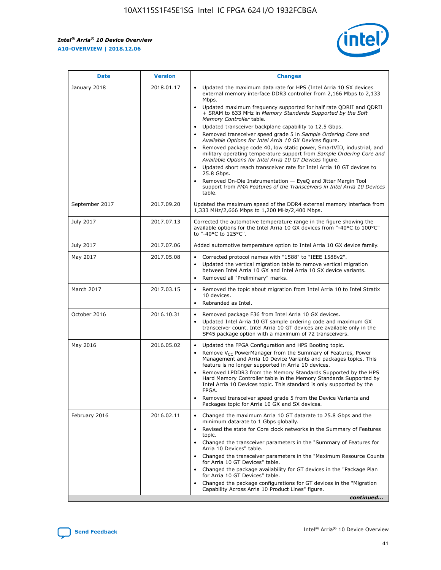*Intel® Arria® 10 Device Overview* **A10-OVERVIEW | 2018.12.06**



| <b>Date</b>    | <b>Version</b> | <b>Changes</b>                                                                                                                                                                                                                                                                                                                                                                                                                                                                                                                                                                                                                                                                                                                                                                                                                                                                                                                                                            |
|----------------|----------------|---------------------------------------------------------------------------------------------------------------------------------------------------------------------------------------------------------------------------------------------------------------------------------------------------------------------------------------------------------------------------------------------------------------------------------------------------------------------------------------------------------------------------------------------------------------------------------------------------------------------------------------------------------------------------------------------------------------------------------------------------------------------------------------------------------------------------------------------------------------------------------------------------------------------------------------------------------------------------|
| January 2018   | 2018.01.17     | Updated the maximum data rate for HPS (Intel Arria 10 SX devices<br>external memory interface DDR3 controller from 2,166 Mbps to 2,133<br>Mbps.<br>Updated maximum frequency supported for half rate QDRII and QDRII<br>+ SRAM to 633 MHz in Memory Standards Supported by the Soft<br>Memory Controller table.<br>Updated transceiver backplane capability to 12.5 Gbps.<br>$\bullet$<br>Removed transceiver speed grade 5 in Sample Ordering Core and<br>Available Options for Intel Arria 10 GX Devices figure.<br>Removed package code 40, low static power, SmartVID, industrial, and<br>military operating temperature support from Sample Ordering Core and<br>Available Options for Intel Arria 10 GT Devices figure.<br>Updated short reach transceiver rate for Intel Arria 10 GT devices to<br>25.8 Gbps.<br>Removed On-Die Instrumentation - EyeQ and Jitter Margin Tool<br>support from PMA Features of the Transceivers in Intel Arria 10 Devices<br>table. |
| September 2017 | 2017.09.20     | Updated the maximum speed of the DDR4 external memory interface from<br>1,333 MHz/2,666 Mbps to 1,200 MHz/2,400 Mbps.                                                                                                                                                                                                                                                                                                                                                                                                                                                                                                                                                                                                                                                                                                                                                                                                                                                     |
| July 2017      | 2017.07.13     | Corrected the automotive temperature range in the figure showing the<br>available options for the Intel Arria 10 GX devices from "-40°C to 100°C"<br>to "-40°C to 125°C".                                                                                                                                                                                                                                                                                                                                                                                                                                                                                                                                                                                                                                                                                                                                                                                                 |
| July 2017      | 2017.07.06     | Added automotive temperature option to Intel Arria 10 GX device family.                                                                                                                                                                                                                                                                                                                                                                                                                                                                                                                                                                                                                                                                                                                                                                                                                                                                                                   |
| May 2017       | 2017.05.08     | Corrected protocol names with "1588" to "IEEE 1588v2".<br>$\bullet$<br>Updated the vertical migration table to remove vertical migration<br>$\bullet$<br>between Intel Arria 10 GX and Intel Arria 10 SX device variants.<br>Removed all "Preliminary" marks.<br>$\bullet$                                                                                                                                                                                                                                                                                                                                                                                                                                                                                                                                                                                                                                                                                                |
| March 2017     | 2017.03.15     | Removed the topic about migration from Intel Arria 10 to Intel Stratix<br>10 devices.<br>Rebranded as Intel.<br>$\bullet$                                                                                                                                                                                                                                                                                                                                                                                                                                                                                                                                                                                                                                                                                                                                                                                                                                                 |
| October 2016   | 2016.10.31     | Removed package F36 from Intel Arria 10 GX devices.<br>Updated Intel Arria 10 GT sample ordering code and maximum GX<br>$\bullet$<br>transceiver count. Intel Arria 10 GT devices are available only in the<br>SF45 package option with a maximum of 72 transceivers.                                                                                                                                                                                                                                                                                                                                                                                                                                                                                                                                                                                                                                                                                                     |
| May 2016       | 2016.05.02     | Updated the FPGA Configuration and HPS Booting topic.<br>$\bullet$<br>Remove V <sub>CC</sub> PowerManager from the Summary of Features, Power<br>Management and Arria 10 Device Variants and packages topics. This<br>feature is no longer supported in Arria 10 devices.<br>Removed LPDDR3 from the Memory Standards Supported by the HPS<br>Hard Memory Controller table in the Memory Standards Supported by<br>Intel Arria 10 Devices topic. This standard is only supported by the<br>FPGA.<br>Removed transceiver speed grade 5 from the Device Variants and<br>Packages topic for Arria 10 GX and SX devices.                                                                                                                                                                                                                                                                                                                                                      |
| February 2016  | 2016.02.11     | Changed the maximum Arria 10 GT datarate to 25.8 Gbps and the<br>minimum datarate to 1 Gbps globally.<br>Revised the state for Core clock networks in the Summary of Features<br>$\bullet$<br>topic.<br>Changed the transceiver parameters in the "Summary of Features for<br>$\bullet$<br>Arria 10 Devices" table.<br>• Changed the transceiver parameters in the "Maximum Resource Counts<br>for Arria 10 GT Devices" table.<br>Changed the package availability for GT devices in the "Package Plan<br>for Arria 10 GT Devices" table.<br>Changed the package configurations for GT devices in the "Migration"<br>Capability Across Arria 10 Product Lines" figure.<br>continued                                                                                                                                                                                                                                                                                       |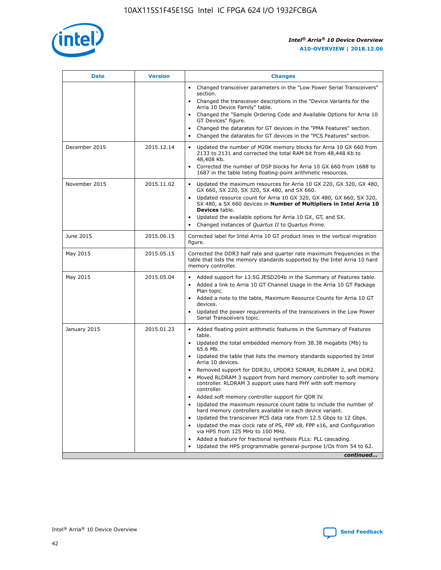

| <b>Date</b>   | <b>Version</b> | <b>Changes</b>                                                                                                                                                                   |
|---------------|----------------|----------------------------------------------------------------------------------------------------------------------------------------------------------------------------------|
|               |                | • Changed transceiver parameters in the "Low Power Serial Transceivers"<br>section.                                                                                              |
|               |                | • Changed the transceiver descriptions in the "Device Variants for the<br>Arria 10 Device Family" table.                                                                         |
|               |                | Changed the "Sample Ordering Code and Available Options for Arria 10<br>GT Devices" figure.                                                                                      |
|               |                | Changed the datarates for GT devices in the "PMA Features" section.                                                                                                              |
|               |                | Changed the datarates for GT devices in the "PCS Features" section.<br>$\bullet$                                                                                                 |
| December 2015 | 2015.12.14     | Updated the number of M20K memory blocks for Arria 10 GX 660 from<br>$\bullet$<br>2133 to 2131 and corrected the total RAM bit from 48,448 Kb to<br>48,408 Kb.                   |
|               |                | Corrected the number of DSP blocks for Arria 10 GX 660 from 1688 to<br>$\bullet$<br>1687 in the table listing floating-point arithmetic resources.                               |
| November 2015 | 2015.11.02     | Updated the maximum resources for Arria 10 GX 220, GX 320, GX 480,<br>$\bullet$<br>GX 660, SX 220, SX 320, SX 480, and SX 660.                                                   |
|               |                | Updated resource count for Arria 10 GX 320, GX 480, GX 660, SX 320,<br>$\bullet$<br>SX 480, a SX 660 devices in Number of Multipliers in Intel Arria 10<br><b>Devices</b> table. |
|               |                | Updated the available options for Arria 10 GX, GT, and SX.<br>$\bullet$                                                                                                          |
|               |                | Changed instances of Quartus II to Quartus Prime.<br>$\bullet$                                                                                                                   |
| June 2015     | 2015.06.15     | Corrected label for Intel Arria 10 GT product lines in the vertical migration<br>figure.                                                                                         |
| May 2015      | 2015.05.15     | Corrected the DDR3 half rate and quarter rate maximum frequencies in the<br>table that lists the memory standards supported by the Intel Arria 10 hard<br>memory controller.     |
| May 2015      | 2015.05.04     | • Added support for 13.5G JESD204b in the Summary of Features table.<br>• Added a link to Arria 10 GT Channel Usage in the Arria 10 GT Package<br>Plan topic.                    |
|               |                | • Added a note to the table, Maximum Resource Counts for Arria 10 GT<br>devices.                                                                                                 |
|               |                | Updated the power requirements of the transceivers in the Low Power<br>Serial Transceivers topic.                                                                                |
| January 2015  | 2015.01.23     | • Added floating point arithmetic features in the Summary of Features<br>table.                                                                                                  |
|               |                | • Updated the total embedded memory from 38.38 megabits (Mb) to<br>65.6 Mb.                                                                                                      |
|               |                | • Updated the table that lists the memory standards supported by Intel<br>Arria 10 devices.                                                                                      |
|               |                | Removed support for DDR3U, LPDDR3 SDRAM, RLDRAM 2, and DDR2.<br>Moved RLDRAM 3 support from hard memory controller to soft memory                                                |
|               |                | controller. RLDRAM 3 support uses hard PHY with soft memory<br>controller.                                                                                                       |
|               |                | Added soft memory controller support for QDR IV.                                                                                                                                 |
|               |                | Updated the maximum resource count table to include the number of<br>hard memory controllers available in each device variant.                                                   |
|               |                | Updated the transceiver PCS data rate from 12.5 Gbps to 12 Gbps.<br>$\bullet$                                                                                                    |
|               |                | Updated the max clock rate of PS, FPP x8, FPP x16, and Configuration<br>via HPS from 125 MHz to 100 MHz.                                                                         |
|               |                | Added a feature for fractional synthesis PLLs: PLL cascading.                                                                                                                    |
|               |                | Updated the HPS programmable general-purpose I/Os from 54 to 62.<br>$\bullet$                                                                                                    |
|               |                | continued                                                                                                                                                                        |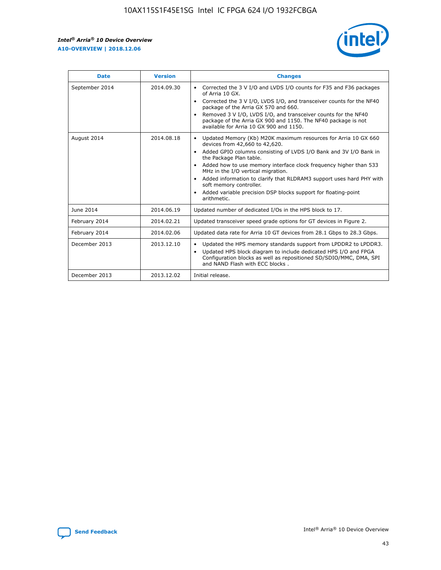r



| <b>Date</b>    | <b>Version</b> | <b>Changes</b>                                                                                                                                                                                                                                                                                                                                                                                                                                                                                                                                      |
|----------------|----------------|-----------------------------------------------------------------------------------------------------------------------------------------------------------------------------------------------------------------------------------------------------------------------------------------------------------------------------------------------------------------------------------------------------------------------------------------------------------------------------------------------------------------------------------------------------|
| September 2014 | 2014.09.30     | Corrected the 3 V I/O and LVDS I/O counts for F35 and F36 packages<br>$\bullet$<br>of Arria 10 GX.<br>Corrected the 3 V I/O, LVDS I/O, and transceiver counts for the NF40<br>$\bullet$<br>package of the Arria GX 570 and 660.<br>Removed 3 V I/O, LVDS I/O, and transceiver counts for the NF40<br>$\bullet$<br>package of the Arria GX 900 and 1150. The NF40 package is not<br>available for Arria 10 GX 900 and 1150.                                                                                                                          |
| August 2014    | 2014.08.18     | Updated Memory (Kb) M20K maximum resources for Arria 10 GX 660<br>devices from 42,660 to 42,620.<br>Added GPIO columns consisting of LVDS I/O Bank and 3V I/O Bank in<br>$\bullet$<br>the Package Plan table.<br>Added how to use memory interface clock frequency higher than 533<br>$\bullet$<br>MHz in the I/O vertical migration.<br>Added information to clarify that RLDRAM3 support uses hard PHY with<br>$\bullet$<br>soft memory controller.<br>Added variable precision DSP blocks support for floating-point<br>$\bullet$<br>arithmetic. |
| June 2014      | 2014.06.19     | Updated number of dedicated I/Os in the HPS block to 17.                                                                                                                                                                                                                                                                                                                                                                                                                                                                                            |
| February 2014  | 2014.02.21     | Updated transceiver speed grade options for GT devices in Figure 2.                                                                                                                                                                                                                                                                                                                                                                                                                                                                                 |
| February 2014  | 2014.02.06     | Updated data rate for Arria 10 GT devices from 28.1 Gbps to 28.3 Gbps.                                                                                                                                                                                                                                                                                                                                                                                                                                                                              |
| December 2013  | 2013.12.10     | Updated the HPS memory standards support from LPDDR2 to LPDDR3.<br>Updated HPS block diagram to include dedicated HPS I/O and FPGA<br>$\bullet$<br>Configuration blocks as well as repositioned SD/SDIO/MMC, DMA, SPI<br>and NAND Flash with ECC blocks.                                                                                                                                                                                                                                                                                            |
| December 2013  | 2013.12.02     | Initial release.                                                                                                                                                                                                                                                                                                                                                                                                                                                                                                                                    |